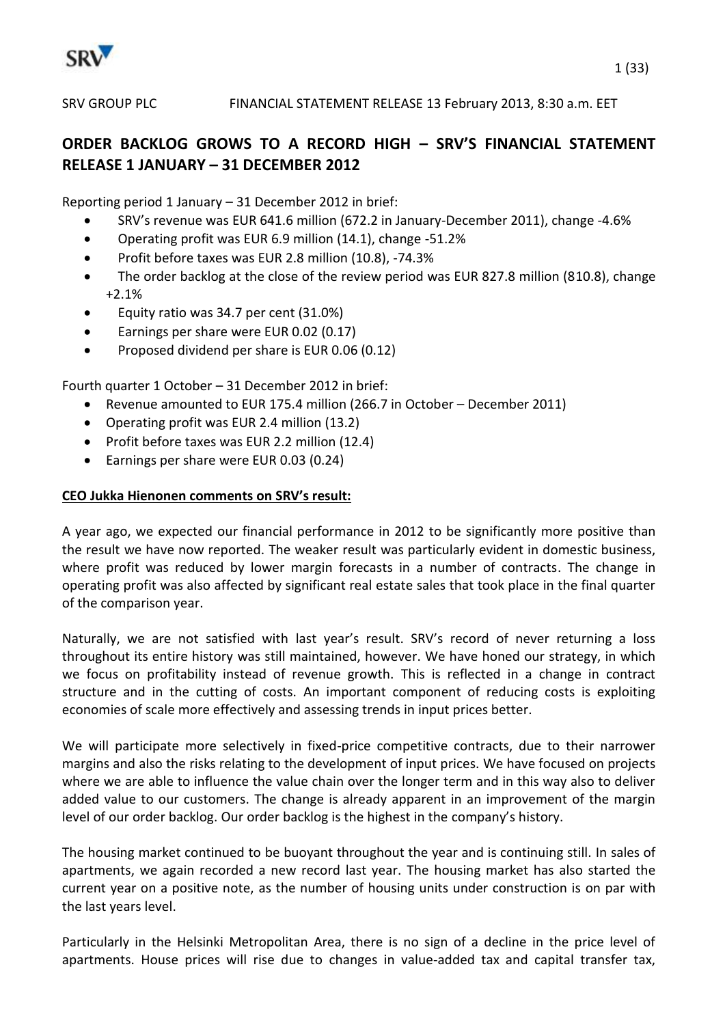

# **ORDER BACKLOG GROWS TO A RECORD HIGH – SRV'S FINANCIAL STATEMENT RELEASE 1 JANUARY – 31 DECEMBER 2012**

Reporting period 1 January – 31 December 2012 in brief:

- SRV's revenue was EUR 641.6 million (672.2 in January-December 2011), change -4.6%
- Operating profit was EUR 6.9 million (14.1), change -51.2%
- Profit before taxes was EUR 2.8 million (10.8), -74.3%
- The order backlog at the close of the review period was EUR 827.8 million (810.8), change +2.1%
- Equity ratio was 34.7 per cent (31.0%)
- Earnings per share were EUR 0.02 (0.17)
- Proposed dividend per share is EUR 0.06 (0.12)

Fourth quarter 1 October – 31 December 2012 in brief:

- Revenue amounted to EUR 175.4 million (266.7 in October December 2011)
- Operating profit was EUR 2.4 million (13.2)
- Profit before taxes was EUR 2.2 million (12.4)
- Earnings per share were EUR 0.03 (0.24)

### **CEO Jukka Hienonen comments on SRV's result:**

A year ago, we expected our financial performance in 2012 to be significantly more positive than the result we have now reported. The weaker result was particularly evident in domestic business, where profit was reduced by lower margin forecasts in a number of contracts. The change in operating profit was also affected by significant real estate sales that took place in the final quarter of the comparison year.

Naturally, we are not satisfied with last year's result. SRV's record of never returning a loss throughout its entire history was still maintained, however. We have honed our strategy, in which we focus on profitability instead of revenue growth. This is reflected in a change in contract structure and in the cutting of costs. An important component of reducing costs is exploiting economies of scale more effectively and assessing trends in input prices better.

We will participate more selectively in fixed-price competitive contracts, due to their narrower margins and also the risks relating to the development of input prices. We have focused on projects where we are able to influence the value chain over the longer term and in this way also to deliver added value to our customers. The change is already apparent in an improvement of the margin level of our order backlog. Our order backlog is the highest in the company's history.

The housing market continued to be buoyant throughout the year and is continuing still. In sales of apartments, we again recorded a new record last year. The housing market has also started the current year on a positive note, as the number of housing units under construction is on par with the last years level.

Particularly in the Helsinki Metropolitan Area, there is no sign of a decline in the price level of apartments. House prices will rise due to changes in value-added tax and capital transfer tax,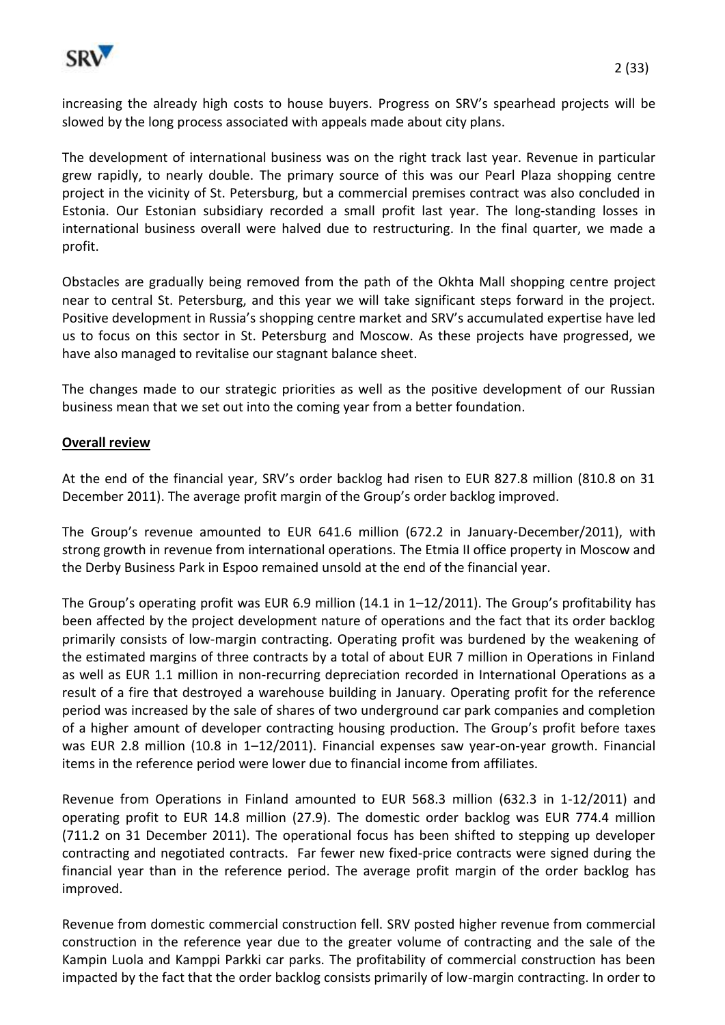

increasing the already high costs to house buyers. Progress on SRV's spearhead projects will be slowed by the long process associated with appeals made about city plans.

The development of international business was on the right track last year. Revenue in particular grew rapidly, to nearly double. The primary source of this was our Pearl Plaza shopping centre project in the vicinity of St. Petersburg, but a commercial premises contract was also concluded in Estonia. Our Estonian subsidiary recorded a small profit last year. The long-standing losses in international business overall were halved due to restructuring. In the final quarter, we made a profit.

Obstacles are gradually being removed from the path of the Okhta Mall shopping centre project near to central St. Petersburg, and this year we will take significant steps forward in the project. Positive development in Russia's shopping centre market and SRV's accumulated expertise have led us to focus on this sector in St. Petersburg and Moscow. As these projects have progressed, we have also managed to revitalise our stagnant balance sheet.

The changes made to our strategic priorities as well as the positive development of our Russian business mean that we set out into the coming year from a better foundation.

### **Overall review**

At the end of the financial year, SRV's order backlog had risen to EUR 827.8 million (810.8 on 31 December 2011). The average profit margin of the Group's order backlog improved.

The Group's revenue amounted to EUR 641.6 million (672.2 in January-December/2011), with strong growth in revenue from international operations. The Etmia II office property in Moscow and the Derby Business Park in Espoo remained unsold at the end of the financial year.

The Group's operating profit was EUR 6.9 million (14.1 in 1–12/2011). The Group's profitability has been affected by the project development nature of operations and the fact that its order backlog primarily consists of low-margin contracting. Operating profit was burdened by the weakening of the estimated margins of three contracts by a total of about EUR 7 million in Operations in Finland as well as EUR 1.1 million in non-recurring depreciation recorded in International Operations as a result of a fire that destroyed a warehouse building in January. Operating profit for the reference period was increased by the sale of shares of two underground car park companies and completion of a higher amount of developer contracting housing production. The Group's profit before taxes was EUR 2.8 million (10.8 in 1-12/2011). Financial expenses saw year-on-year growth. Financial items in the reference period were lower due to financial income from affiliates.

Revenue from Operations in Finland amounted to EUR 568.3 million (632.3 in 1-12/2011) and operating profit to EUR 14.8 million (27.9). The domestic order backlog was EUR 774.4 million (711.2 on 31 December 2011). The operational focus has been shifted to stepping up developer contracting and negotiated contracts. Far fewer new fixed-price contracts were signed during the financial year than in the reference period. The average profit margin of the order backlog has improved.

Revenue from domestic commercial construction fell. SRV posted higher revenue from commercial construction in the reference year due to the greater volume of contracting and the sale of the Kampin Luola and Kamppi Parkki car parks. The profitability of commercial construction has been impacted by the fact that the order backlog consists primarily of low-margin contracting. In order to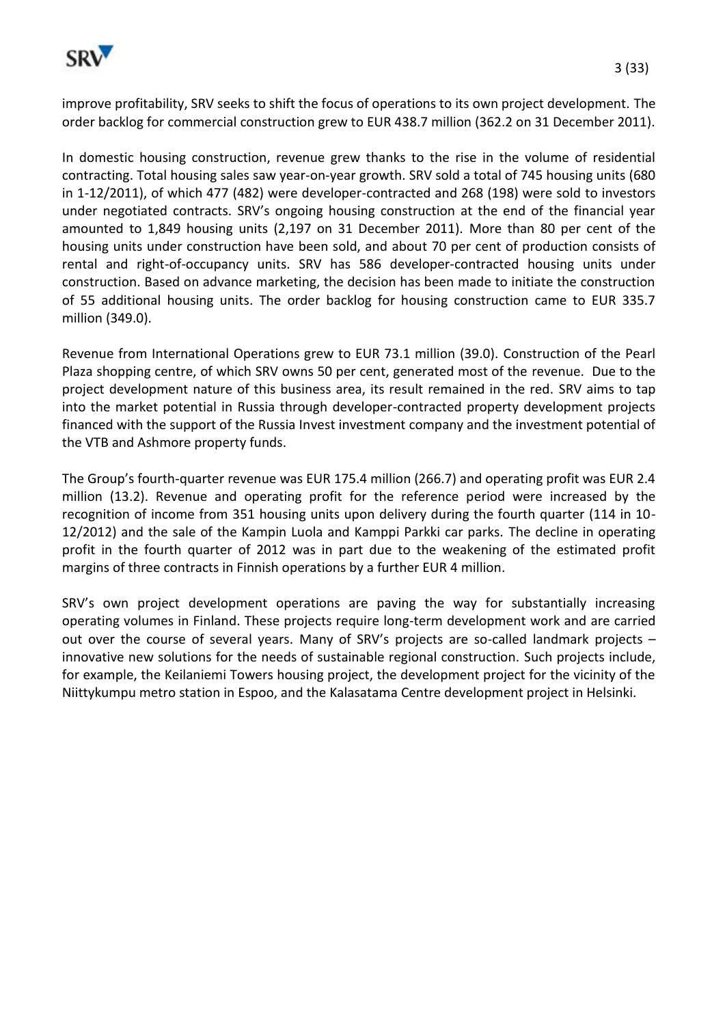

improve profitability, SRV seeks to shift the focus of operations to its own project development. The order backlog for commercial construction grew to EUR 438.7 million (362.2 on 31 December 2011).

In domestic housing construction, revenue grew thanks to the rise in the volume of residential contracting. Total housing sales saw year-on-year growth. SRV sold a total of 745 housing units (680 in 1-12/2011), of which 477 (482) were developer-contracted and 268 (198) were sold to investors under negotiated contracts. SRV's ongoing housing construction at the end of the financial year amounted to 1,849 housing units (2,197 on 31 December 2011). More than 80 per cent of the housing units under construction have been sold, and about 70 per cent of production consists of rental and right-of-occupancy units. SRV has 586 developer-contracted housing units under construction. Based on advance marketing, the decision has been made to initiate the construction of 55 additional housing units. The order backlog for housing construction came to EUR 335.7 million (349.0).

Revenue from International Operations grew to EUR 73.1 million (39.0). Construction of the Pearl Plaza shopping centre, of which SRV owns 50 per cent, generated most of the revenue. Due to the project development nature of this business area, its result remained in the red. SRV aims to tap into the market potential in Russia through developer-contracted property development projects financed with the support of the Russia Invest investment company and the investment potential of the VTB and Ashmore property funds.

The Group's fourth-quarter revenue was EUR 175.4 million (266.7) and operating profit was EUR 2.4 million (13.2). Revenue and operating profit for the reference period were increased by the recognition of income from 351 housing units upon delivery during the fourth quarter (114 in 10- 12/2012) and the sale of the Kampin Luola and Kamppi Parkki car parks. The decline in operating profit in the fourth quarter of 2012 was in part due to the weakening of the estimated profit margins of three contracts in Finnish operations by a further EUR 4 million.

SRV's own project development operations are paving the way for substantially increasing operating volumes in Finland. These projects require long-term development work and are carried out over the course of several years. Many of SRV's projects are so-called landmark projects – innovative new solutions for the needs of sustainable regional construction. Such projects include, for example, the Keilaniemi Towers housing project, the development project for the vicinity of the Niittykumpu metro station in Espoo, and the Kalasatama Centre development project in Helsinki.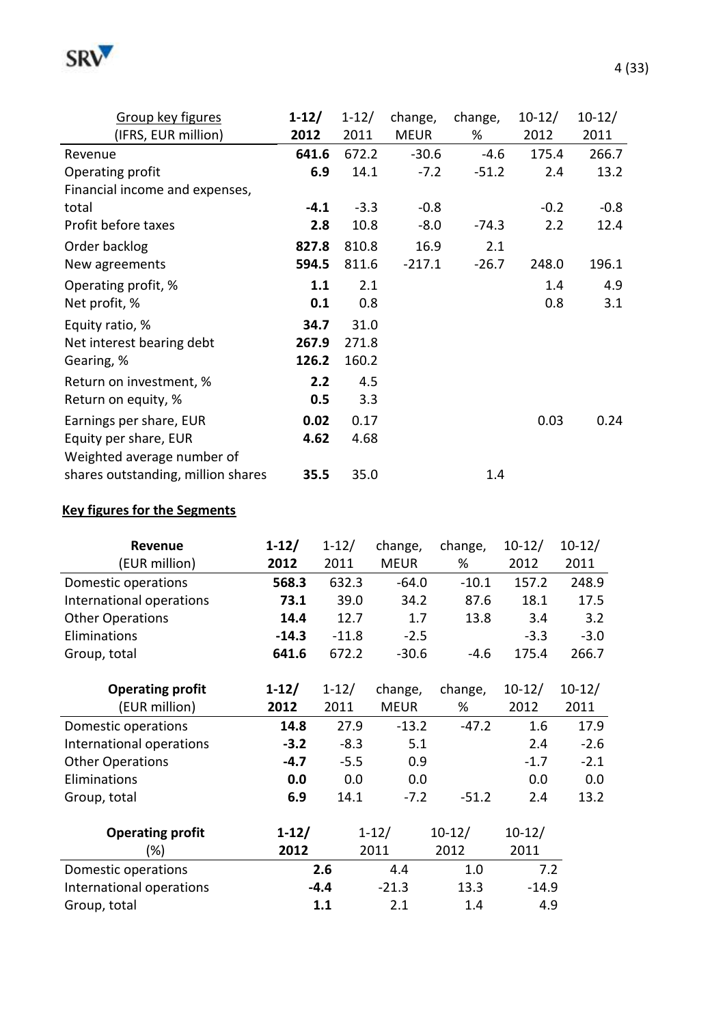

| Group key figures                  | $1 - 12/$ | $1 - 12/$ | change,     | change, | $10 - 12/$ | $10 - 12/$ |
|------------------------------------|-----------|-----------|-------------|---------|------------|------------|
| (IFRS, EUR million)                | 2012      | 2011      | <b>MEUR</b> | %       | 2012       | 2011       |
| Revenue                            | 641.6     | 672.2     | $-30.6$     | $-4.6$  | 175.4      | 266.7      |
| Operating profit                   | 6.9       | 14.1      | $-7.2$      | $-51.2$ | 2.4        | 13.2       |
| Financial income and expenses,     |           |           |             |         |            |            |
| total                              | $-4.1$    | $-3.3$    | $-0.8$      |         | $-0.2$     | $-0.8$     |
| Profit before taxes                | 2.8       | 10.8      | $-8.0$      | $-74.3$ | 2.2        | 12.4       |
| Order backlog                      | 827.8     | 810.8     | 16.9        | 2.1     |            |            |
| New agreements                     | 594.5     | 811.6     | $-217.1$    | $-26.7$ | 248.0      | 196.1      |
| Operating profit, %                | 1.1       | 2.1       |             |         | 1.4        | 4.9        |
| Net profit, %                      | 0.1       | 0.8       |             |         | 0.8        | 3.1        |
| Equity ratio, %                    | 34.7      | 31.0      |             |         |            |            |
| Net interest bearing debt          | 267.9     | 271.8     |             |         |            |            |
| Gearing, %                         | 126.2     | 160.2     |             |         |            |            |
| Return on investment, %            | 2.2       | 4.5       |             |         |            |            |
| Return on equity, %                | 0.5       | 3.3       |             |         |            |            |
| Earnings per share, EUR            | 0.02      | 0.17      |             |         | 0.03       | 0.24       |
| Equity per share, EUR              | 4.62      | 4.68      |             |         |            |            |
| Weighted average number of         |           |           |             |         |            |            |
| shares outstanding, million shares | 35.5      | 35.0      |             | 1.4     |            |            |

# **Key figures for the Segments**

| Revenue<br>(EUR million) | $1-12/$<br>2012 | $1 - 12/$<br>2011 | change,<br><b>MEUR</b> | change,<br>% | $10-12/$<br>2012 | $10-12/$<br>2011 |
|--------------------------|-----------------|-------------------|------------------------|--------------|------------------|------------------|
| Domestic operations      | 568.3           | 632.3             | $-64.0$                | $-10.1$      | 157.2            | 248.9            |
| International operations | 73.1            | 39.0              | 34.2                   | 87.6         | 18.1             | 17.5             |
| <b>Other Operations</b>  | 14.4            | 12.7              | 1.7                    | 13.8         | 3.4              | 3.2              |
| Eliminations             | $-14.3$         | $-11.8$           | $-2.5$                 |              | $-3.3$           | $-3.0$           |
| Group, total             | 641.6           | 672.2             | $-30.6$                | $-4.6$       | 175.4            | 266.7            |
|                          |                 |                   |                        |              |                  |                  |
| <b>Operating profit</b>  | $1-12/$         | $1 - 12/$         | change,                | change,      | $10-12/$         | $10-12/$         |
| (EUR million)            | 2012            | 2011              | <b>MEUR</b>            | %            | 2012             | 2011             |
| Domestic operations      | 14.8            | 27.9              | $-13.2$                | $-47.2$      | 1.6              | 17.9             |
| International operations | $-3.2$          | $-8.3$            | 5.1                    |              | 2.4              | $-2.6$           |
| <b>Other Operations</b>  | $-4.7$          | $-5.5$            | 0.9                    |              | $-1.7$           | $-2.1$           |
| Eliminations             | 0.0             | 0.0               | 0.0                    |              | 0.0              | 0.0              |
| Group, total             | 6.9             | 14.1              | $-7.2$                 | $-51.2$      | 2.4              | 13.2             |
| <b>Operating profit</b>  | $1-12/$         |                   | $1 - 12/$              | $10-12/$     | $10-12/$         |                  |
| (%)                      | 2012            |                   | 2011                   | 2012         | 2011             |                  |
| Domestic operations      |                 | 2.6               | 4.4                    | 1.0          | 7.2              |                  |
| International operations |                 | $-4.4$            | $-21.3$                | 13.3         | $-14.9$          |                  |
| Group, total             |                 | 1.1               | 2.1                    | 1.4          | 4.9              |                  |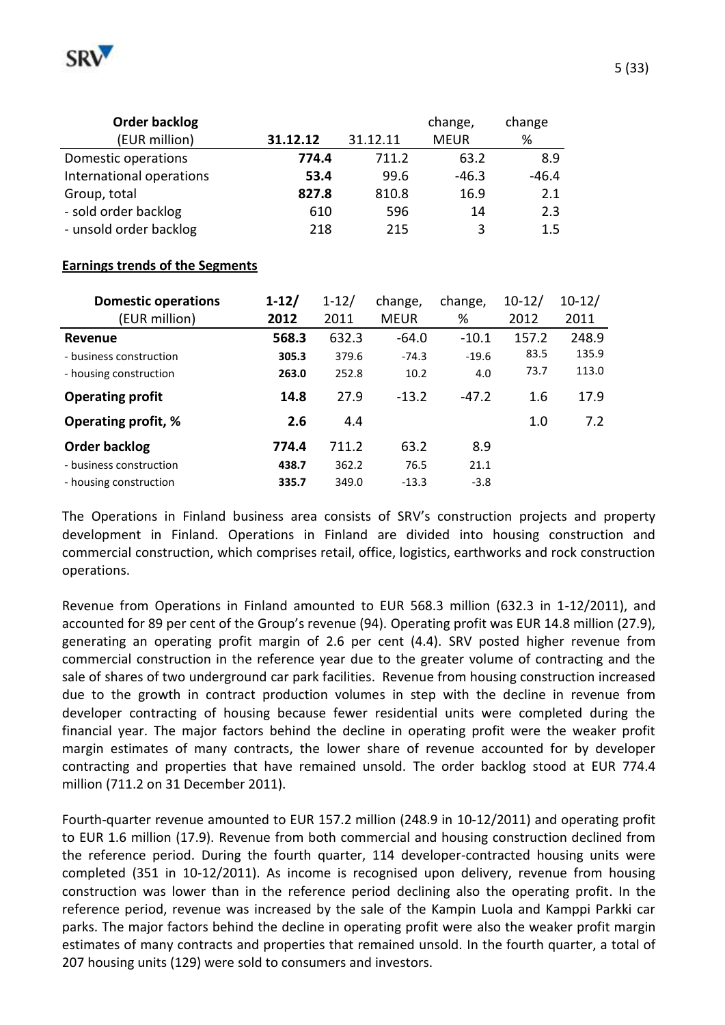

| Order backlog            |          |          | change,     | change  |
|--------------------------|----------|----------|-------------|---------|
| (EUR million)            | 31.12.12 | 31.12.11 | <b>MEUR</b> | %       |
| Domestic operations      | 774.4    | 711.2    | 63.2        | 8.9     |
| International operations | 53.4     | 99.6     | $-46.3$     | $-46.4$ |
| Group, total             | 827.8    | 810.8    | 16.9        | 2.1     |
| - sold order backlog     | 610      | 596      | 14          | 2.3     |
| - unsold order backlog   | 218      | 215      | 3           | 1.5     |

#### **Earnings trends of the Segments**

| <b>Domestic operations</b> | $1-12/$ | $1 - 12/$ | change,     | change, | $10 - 12/$ | $10-12/$ |
|----------------------------|---------|-----------|-------------|---------|------------|----------|
| (EUR million)              | 2012    | 2011      | <b>MEUR</b> | %       | 2012       | 2011     |
| Revenue                    | 568.3   | 632.3     | $-64.0$     | $-10.1$ | 157.2      | 248.9    |
| - business construction    | 305.3   | 379.6     | $-74.3$     | $-19.6$ | 83.5       | 135.9    |
| - housing construction     | 263.0   | 252.8     | 10.2        | 4.0     | 73.7       | 113.0    |
| <b>Operating profit</b>    | 14.8    | 27.9      | $-13.2$     | $-47.2$ | 1.6        | 17.9     |
| Operating profit, %        | 2.6     | 4.4       |             |         | 1.0        | 7.2      |
| Order backlog              | 774.4   | 711.2     | 63.2        | 8.9     |            |          |
| - business construction    | 438.7   | 362.2     | 76.5        | 21.1    |            |          |
| - housing construction     | 335.7   | 349.0     | $-13.3$     | $-3.8$  |            |          |

The Operations in Finland business area consists of SRV's construction projects and property development in Finland. Operations in Finland are divided into housing construction and commercial construction, which comprises retail, office, logistics, earthworks and rock construction operations.

Revenue from Operations in Finland amounted to EUR 568.3 million (632.3 in 1-12/2011), and accounted for 89 per cent of the Group's revenue (94). Operating profit was EUR 14.8 million (27.9), generating an operating profit margin of 2.6 per cent (4.4). SRV posted higher revenue from commercial construction in the reference year due to the greater volume of contracting and the sale of shares of two underground car park facilities. Revenue from housing construction increased due to the growth in contract production volumes in step with the decline in revenue from developer contracting of housing because fewer residential units were completed during the financial year. The major factors behind the decline in operating profit were the weaker profit margin estimates of many contracts, the lower share of revenue accounted for by developer contracting and properties that have remained unsold. The order backlog stood at EUR 774.4 million (711.2 on 31 December 2011).

Fourth-quarter revenue amounted to EUR 157.2 million (248.9 in 10-12/2011) and operating profit to EUR 1.6 million (17.9). Revenue from both commercial and housing construction declined from the reference period. During the fourth quarter, 114 developer-contracted housing units were completed (351 in 10-12/2011). As income is recognised upon delivery, revenue from housing construction was lower than in the reference period declining also the operating profit. In the reference period, revenue was increased by the sale of the Kampin Luola and Kamppi Parkki car parks. The major factors behind the decline in operating profit were also the weaker profit margin estimates of many contracts and properties that remained unsold. In the fourth quarter, a total of 207 housing units (129) were sold to consumers and investors.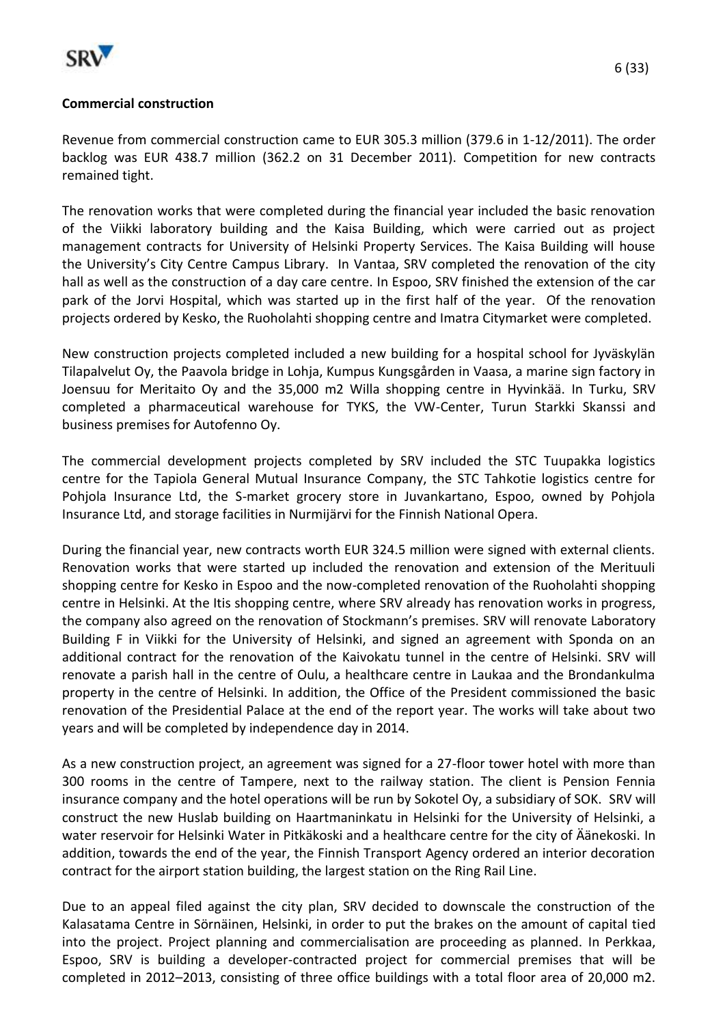

remained tight.

Revenue from commercial construction came to EUR 305.3 million (379.6 in 1-12/2011). The order backlog was EUR 438.7 million (362.2 on 31 December 2011). Competition for new contracts

The renovation works that were completed during the financial year included the basic renovation of the Viikki laboratory building and the Kaisa Building, which were carried out as project management contracts for University of Helsinki Property Services. The Kaisa Building will house the University's City Centre Campus Library. In Vantaa, SRV completed the renovation of the city hall as well as the construction of a day care centre. In Espoo, SRV finished the extension of the car park of the Jorvi Hospital, which was started up in the first half of the year. Of the renovation projects ordered by Kesko, the Ruoholahti shopping centre and Imatra Citymarket were completed.

New construction projects completed included a new building for a hospital school for Jyväskylän Tilapalvelut Oy, the Paavola bridge in Lohja, Kumpus Kungsgården in Vaasa, a marine sign factory in Joensuu for Meritaito Oy and the 35,000 m2 Willa shopping centre in Hyvinkää. In Turku, SRV completed a pharmaceutical warehouse for TYKS, the VW-Center, Turun Starkki Skanssi and business premises for Autofenno Oy.

The commercial development projects completed by SRV included the STC Tuupakka logistics centre for the Tapiola General Mutual Insurance Company, the STC Tahkotie logistics centre for Pohjola Insurance Ltd, the S-market grocery store in Juvankartano, Espoo, owned by Pohjola Insurance Ltd, and storage facilities in Nurmijärvi for the Finnish National Opera.

During the financial year, new contracts worth EUR 324.5 million were signed with external clients. Renovation works that were started up included the renovation and extension of the Merituuli shopping centre for Kesko in Espoo and the now-completed renovation of the Ruoholahti shopping centre in Helsinki. At the Itis shopping centre, where SRV already has renovation works in progress, the company also agreed on the renovation of Stockmann's premises. SRV will renovate Laboratory Building F in Viikki for the University of Helsinki, and signed an agreement with Sponda on an additional contract for the renovation of the Kaivokatu tunnel in the centre of Helsinki. SRV will renovate a parish hall in the centre of Oulu, a healthcare centre in Laukaa and the Brondankulma property in the centre of Helsinki. In addition, the Office of the President commissioned the basic renovation of the Presidential Palace at the end of the report year. The works will take about two years and will be completed by independence day in 2014.

As a new construction project, an agreement was signed for a 27-floor tower hotel with more than 300 rooms in the centre of Tampere, next to the railway station. The client is Pension Fennia insurance company and the hotel operations will be run by Sokotel Oy, a subsidiary of SOK. SRV will construct the new Huslab building on Haartmaninkatu in Helsinki for the University of Helsinki, a water reservoir for Helsinki Water in Pitkäkoski and a healthcare centre for the city of Äänekoski. In addition, towards the end of the year, the Finnish Transport Agency ordered an interior decoration contract for the airport station building, the largest station on the Ring Rail Line.

Due to an appeal filed against the city plan, SRV decided to downscale the construction of the Kalasatama Centre in Sörnäinen, Helsinki, in order to put the brakes on the amount of capital tied into the project. Project planning and commercialisation are proceeding as planned. In Perkkaa, Espoo, SRV is building a developer-contracted project for commercial premises that will be completed in 2012–2013, consisting of three office buildings with a total floor area of 20,000 m2.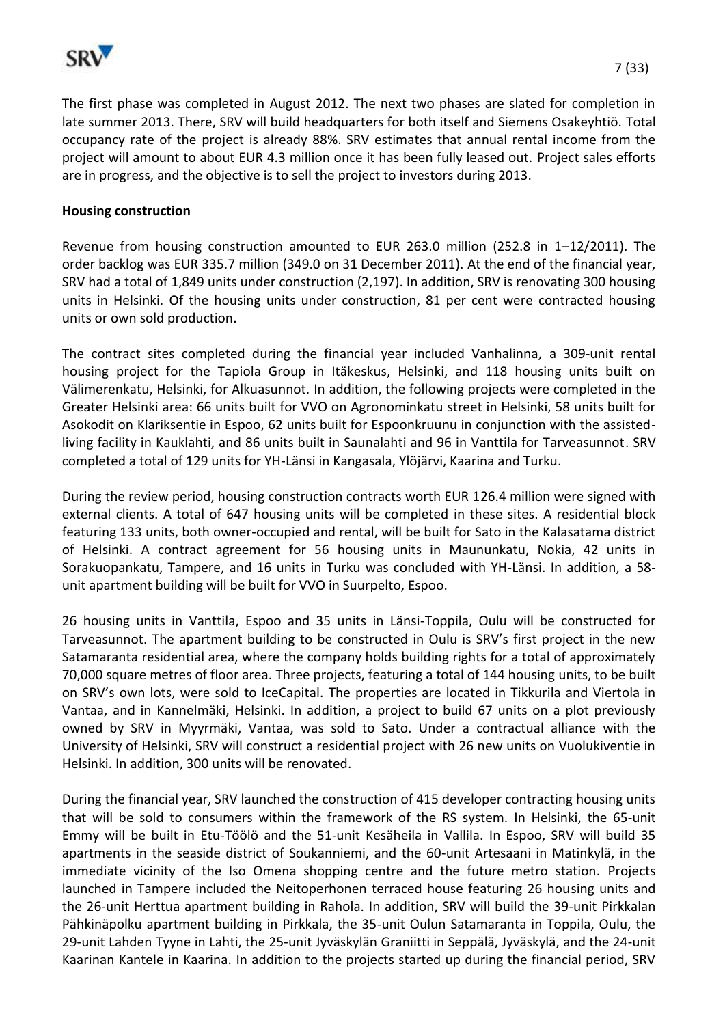

The first phase was completed in August 2012. The next two phases are slated for completion in late summer 2013. There, SRV will build headquarters for both itself and Siemens Osakeyhtiö. Total occupancy rate of the project is already 88%. SRV estimates that annual rental income from the project will amount to about EUR 4.3 million once it has been fully leased out. Project sales efforts are in progress, and the objective is to sell the project to investors during 2013.

#### **Housing construction**

Revenue from housing construction amounted to EUR 263.0 million (252.8 in 1–12/2011). The order backlog was EUR 335.7 million (349.0 on 31 December 2011). At the end of the financial year, SRV had a total of 1,849 units under construction (2,197). In addition, SRV is renovating 300 housing units in Helsinki. Of the housing units under construction, 81 per cent were contracted housing units or own sold production.

The contract sites completed during the financial year included Vanhalinna, a 309-unit rental housing project for the Tapiola Group in Itäkeskus, Helsinki, and 118 housing units built on Välimerenkatu, Helsinki, for Alkuasunnot. In addition, the following projects were completed in the Greater Helsinki area: 66 units built for VVO on Agronominkatu street in Helsinki, 58 units built for Asokodit on Klariksentie in Espoo, 62 units built for Espoonkruunu in conjunction with the assistedliving facility in Kauklahti, and 86 units built in Saunalahti and 96 in Vanttila for Tarveasunnot. SRV completed a total of 129 units for YH-Länsi in Kangasala, Ylöjärvi, Kaarina and Turku.

During the review period, housing construction contracts worth EUR 126.4 million were signed with external clients. A total of 647 housing units will be completed in these sites. A residential block featuring 133 units, both owner-occupied and rental, will be built for Sato in the Kalasatama district of Helsinki. A contract agreement for 56 housing units in Maununkatu, Nokia, 42 units in Sorakuopankatu, Tampere, and 16 units in Turku was concluded with YH-Länsi. In addition, a 58 unit apartment building will be built for VVO in Suurpelto, Espoo.

26 housing units in Vanttila, Espoo and 35 units in Länsi-Toppila, Oulu will be constructed for Tarveasunnot. The apartment building to be constructed in Oulu is SRV's first project in the new Satamaranta residential area, where the company holds building rights for a total of approximately 70,000 square metres of floor area. Three projects, featuring a total of 144 housing units, to be built on SRV's own lots, were sold to IceCapital. The properties are located in Tikkurila and Viertola in Vantaa, and in Kannelmäki, Helsinki. In addition, a project to build 67 units on a plot previously owned by SRV in Myyrmäki, Vantaa, was sold to Sato. Under a contractual alliance with the University of Helsinki, SRV will construct a residential project with 26 new units on Vuolukiventie in Helsinki. In addition, 300 units will be renovated.

During the financial year, SRV launched the construction of 415 developer contracting housing units that will be sold to consumers within the framework of the RS system. In Helsinki, the 65-unit Emmy will be built in Etu-Töölö and the 51-unit Kesäheila in Vallila. In Espoo, SRV will build 35 apartments in the seaside district of Soukanniemi, and the 60-unit Artesaani in Matinkylä, in the immediate vicinity of the Iso Omena shopping centre and the future metro station. Projects launched in Tampere included the Neitoperhonen terraced house featuring 26 housing units and the 26-unit Herttua apartment building in Rahola. In addition, SRV will build the 39-unit Pirkkalan Pähkinäpolku apartment building in Pirkkala, the 35-unit Oulun Satamaranta in Toppila, Oulu, the 29-unit Lahden Tyyne in Lahti, the 25-unit Jyväskylän Graniitti in Seppälä, Jyväskylä, and the 24-unit Kaarinan Kantele in Kaarina. In addition to the projects started up during the financial period, SRV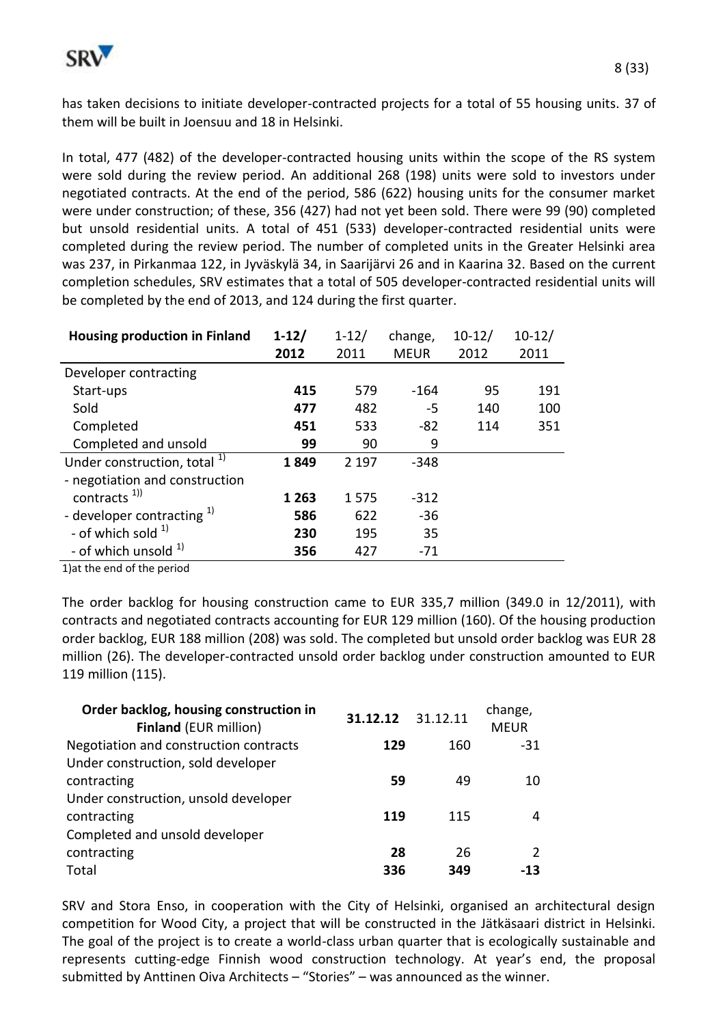

has taken decisions to initiate developer-contracted projects for a total of 55 housing units. 37 of them will be built in Joensuu and 18 in Helsinki.

In total, 477 (482) of the developer-contracted housing units within the scope of the RS system were sold during the review period. An additional 268 (198) units were sold to investors under negotiated contracts. At the end of the period, 586 (622) housing units for the consumer market were under construction; of these, 356 (427) had not yet been sold. There were 99 (90) completed but unsold residential units. A total of 451 (533) developer-contracted residential units were completed during the review period. The number of completed units in the Greater Helsinki area was 237, in Pirkanmaa 122, in Jyväskylä 34, in Saarijärvi 26 and in Kaarina 32. Based on the current completion schedules, SRV estimates that a total of 505 developer-contracted residential units will be completed by the end of 2013, and 124 during the first quarter.

| <b>Housing production in Finland</b>    | $1 - 12/$ | $1 - 12/$ | change,     | $10 - 12/$ | $10 - 12/$ |
|-----------------------------------------|-----------|-----------|-------------|------------|------------|
|                                         | 2012      | 2011      | <b>MEUR</b> | 2012       | 2011       |
| Developer contracting                   |           |           |             |            |            |
| Start-ups                               | 415       | 579       | $-164$      | 95         | 191        |
| Sold                                    | 477       | 482       | -5          | 140        | 100        |
| Completed                               | 451       | 533       | $-82$       | 114        | 351        |
| Completed and unsold                    | 99        | 90        | 9           |            |            |
| Under construction, total <sup>1)</sup> | 1849      | 2 1 9 7   | $-348$      |            |            |
| - negotiation and construction          |           |           |             |            |            |
| contracts $1)$                          | 1 2 6 3   | 1575      | $-312$      |            |            |
| - developer contracting $^{1}$          | 586       | 622       | $-36$       |            |            |
| - of which sold $1$                     | 230       | 195       | 35          |            |            |
| - of which unsold <sup>1)</sup>         | 356       | 427       | $-71$       |            |            |

1)at the end of the period

The order backlog for housing construction came to EUR 335,7 million (349.0 in 12/2011), with contracts and negotiated contracts accounting for EUR 129 million (160). Of the housing production order backlog, EUR 188 million (208) was sold. The completed but unsold order backlog was EUR 28 million (26). The developer-contracted unsold order backlog under construction amounted to EUR 119 million (115).

| Order backlog, housing construction in<br><b>Finland (EUR million)</b> | 31.12.12 | 31.12.11 | change,<br><b>MEUR</b> |
|------------------------------------------------------------------------|----------|----------|------------------------|
| Negotiation and construction contracts                                 | 129      | 160      | -31                    |
| Under construction, sold developer                                     |          |          |                        |
| contracting                                                            | 59       | 49       | 10                     |
| Under construction, unsold developer                                   |          |          |                        |
| contracting                                                            | 119      | 115      | 4                      |
| Completed and unsold developer                                         |          |          |                        |
| contracting                                                            | 28       | 26       | 2                      |
| Total                                                                  | 336      | 349      | -13                    |

SRV and Stora Enso, in cooperation with the City of Helsinki, organised an architectural design competition for Wood City, a project that will be constructed in the Jätkäsaari district in Helsinki. The goal of the project is to create a world-class urban quarter that is ecologically sustainable and represents cutting-edge Finnish wood construction technology. At year's end, the proposal submitted by Anttinen Oiva Architects – "Stories" – was announced as the winner.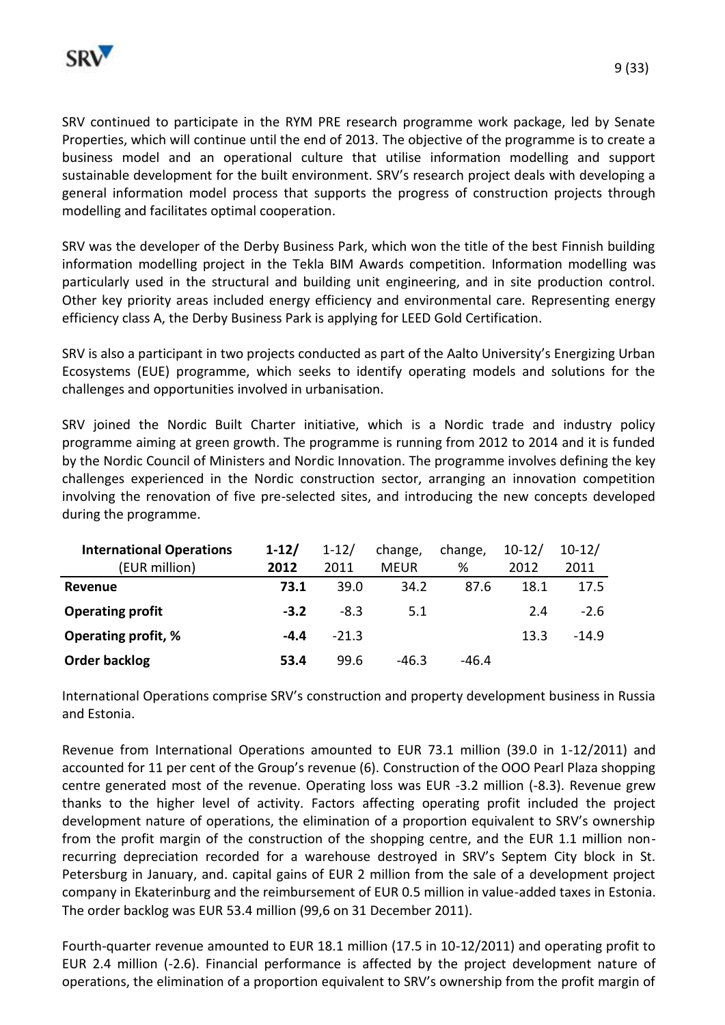

modelling and facilitates optimal cooperation.

SRV was the developer of the Derby Business Park, which won the title of the best Finnish building information modelling project in the Tekla BIM Awards competition. Information modelling was particularly used in the structural and building unit engineering, and in site production control. Other key priority areas included energy efficiency and environmental care. Representing energy efficiency class A, the Derby Business Park is applying for LEED Gold Certification.

SRV is also a participant in two projects conducted as part of the Aalto University's Energizing Urban Ecosystems (EUE) programme, which seeks to identify operating models and solutions for the challenges and opportunities involved in urbanisation.

SRV joined the Nordic Built Charter initiative, which is a Nordic trade and industry policy programme aiming at green growth. The programme is running from 2012 to 2014 and it is funded by the Nordic Council of Ministers and Nordic Innovation. The programme involves defining the key challenges experienced in the Nordic construction sector, arranging an innovation competition involving the renovation of five pre-selected sites, and introducing the new concepts developed during the programme.

| <b>International Operations</b> | $1 - 12/$ | $1 - 12/$ | change,     | change, | $10 - 12/$ | $10 - 12/$ |
|---------------------------------|-----------|-----------|-------------|---------|------------|------------|
| (EUR million)                   | 2012      | 2011      | <b>MEUR</b> | %       | 2012       | 2011       |
| Revenue                         | 73.1      | 39.0      | 34.2        | 87.6    | 18.1       | 17.5       |
| <b>Operating profit</b>         | $-3.2$    | $-8.3$    | 5.1         |         | 2.4        | $-2.6$     |
| <b>Operating profit, %</b>      | $-4.4$    | $-21.3$   |             |         | 13.3       | $-14.9$    |
| Order backlog                   | 53.4      | 99.6      | $-46.3$     | $-46.4$ |            |            |

International Operations comprise SRV's construction and property development business in Russia and Estonia.

Revenue from International Operations amounted to EUR 73.1 million (39.0 in 1-12/2011) and accounted for 11 per cent of the Group's revenue (6). Construction of the OOO Pearl Plaza shopping centre generated most of the revenue. Operating loss was EUR -3.2 million (-8.3). Revenue grew thanks to the higher level of activity. Factors affecting operating profit included the project development nature of operations, the elimination of a proportion equivalent to SRV's ownership from the profit margin of the construction of the shopping centre, and the EUR 1.1 million nonrecurring depreciation recorded for a warehouse destroyed in SRV's Septem City block in St. Petersburg in January, and. capital gains of EUR 2 million from the sale of a development project company in Ekaterinburg and the reimbursement of EUR 0.5 million in value-added taxes in Estonia. The order backlog was EUR 53.4 million (99,6 on 31 December 2011).

Fourth-quarter revenue amounted to EUR 18.1 million (17.5 in 10-12/2011) and operating profit to EUR 2.4 million (-2.6). Financial performance is affected by the project development nature of operations, the elimination of a proportion equivalent to SRV's ownership from the profit margin of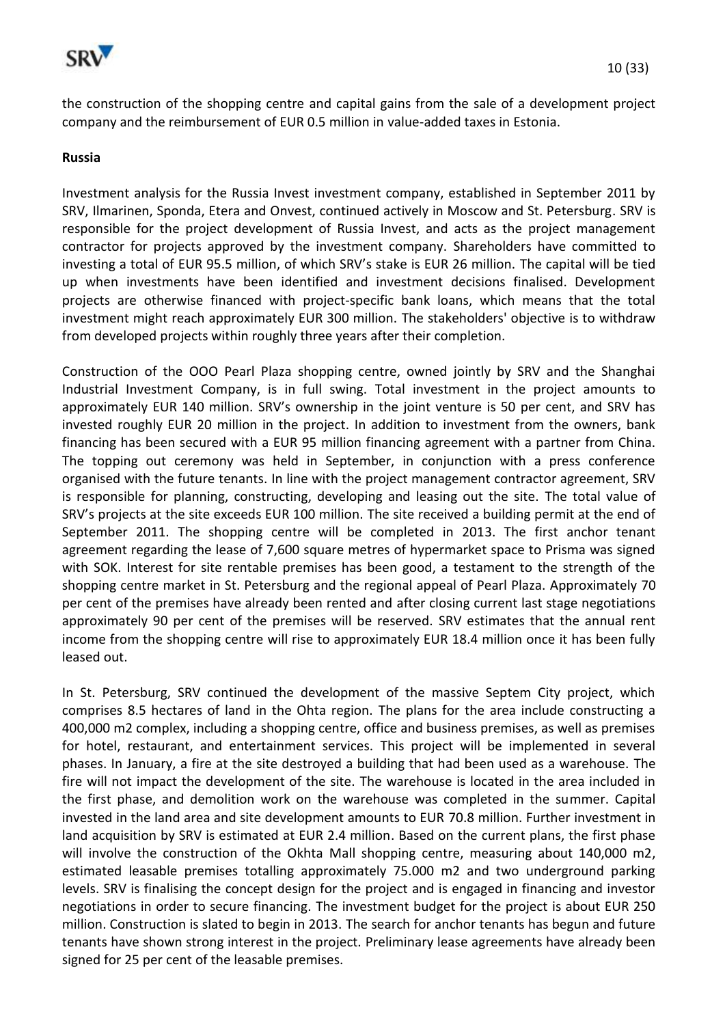

the construction of the shopping centre and capital gains from the sale of a development project company and the reimbursement of EUR 0.5 million in value-added taxes in Estonia.

#### **Russia**

Investment analysis for the Russia Invest investment company, established in September 2011 by SRV, Ilmarinen, Sponda, Etera and Onvest, continued actively in Moscow and St. Petersburg. SRV is responsible for the project development of Russia Invest, and acts as the project management contractor for projects approved by the investment company. Shareholders have committed to investing a total of EUR 95.5 million, of which SRV's stake is EUR 26 million. The capital will be tied up when investments have been identified and investment decisions finalised. Development projects are otherwise financed with project-specific bank loans, which means that the total investment might reach approximately EUR 300 million. The stakeholders' objective is to withdraw from developed projects within roughly three years after their completion.

Construction of the OOO Pearl Plaza shopping centre, owned jointly by SRV and the Shanghai Industrial Investment Company, is in full swing. Total investment in the project amounts to approximately EUR 140 million. SRV's ownership in the joint venture is 50 per cent, and SRV has invested roughly EUR 20 million in the project. In addition to investment from the owners, bank financing has been secured with a EUR 95 million financing agreement with a partner from China. The topping out ceremony was held in September, in conjunction with a press conference organised with the future tenants. In line with the project management contractor agreement, SRV is responsible for planning, constructing, developing and leasing out the site. The total value of SRV's projects at the site exceeds EUR 100 million. The site received a building permit at the end of September 2011. The shopping centre will be completed in 2013. The first anchor tenant agreement regarding the lease of 7,600 square metres of hypermarket space to Prisma was signed with SOK. Interest for site rentable premises has been good, a testament to the strength of the shopping centre market in St. Petersburg and the regional appeal of Pearl Plaza. Approximately 70 per cent of the premises have already been rented and after closing current last stage negotiations approximately 90 per cent of the premises will be reserved. SRV estimates that the annual rent income from the shopping centre will rise to approximately EUR 18.4 million once it has been fully leased out.

In St. Petersburg, SRV continued the development of the massive Septem City project, which comprises 8.5 hectares of land in the Ohta region. The plans for the area include constructing a 400,000 m2 complex, including a shopping centre, office and business premises, as well as premises for hotel, restaurant, and entertainment services. This project will be implemented in several phases. In January, a fire at the site destroyed a building that had been used as a warehouse. The fire will not impact the development of the site. The warehouse is located in the area included in the first phase, and demolition work on the warehouse was completed in the summer. Capital invested in the land area and site development amounts to EUR 70.8 million. Further investment in land acquisition by SRV is estimated at EUR 2.4 million. Based on the current plans, the first phase will involve the construction of the Okhta Mall shopping centre, measuring about 140,000 m2, estimated leasable premises totalling approximately 75.000 m2 and two underground parking levels. SRV is finalising the concept design for the project and is engaged in financing and investor negotiations in order to secure financing. The investment budget for the project is about EUR 250 million. Construction is slated to begin in 2013. The search for anchor tenants has begun and future tenants have shown strong interest in the project. Preliminary lease agreements have already been signed for 25 per cent of the leasable premises.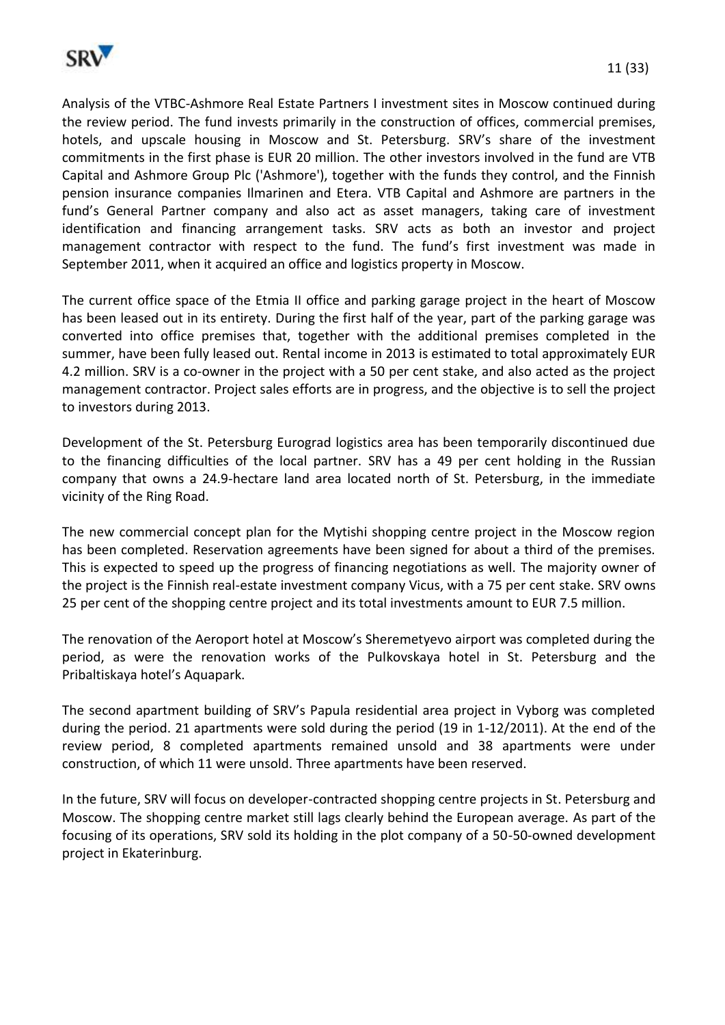

Analysis of the VTBC-Ashmore Real Estate Partners I investment sites in Moscow continued during the review period. The fund invests primarily in the construction of offices, commercial premises, hotels, and upscale housing in Moscow and St. Petersburg. SRV's share of the investment commitments in the first phase is EUR 20 million. The other investors involved in the fund are VTB Capital and Ashmore Group Plc ('Ashmore'), together with the funds they control, and the Finnish pension insurance companies Ilmarinen and Etera. VTB Capital and Ashmore are partners in the fund's General Partner company and also act as asset managers, taking care of investment identification and financing arrangement tasks. SRV acts as both an investor and project management contractor with respect to the fund. The fund's first investment was made in September 2011, when it acquired an office and logistics property in Moscow.

The current office space of the Etmia II office and parking garage project in the heart of Moscow has been leased out in its entirety. During the first half of the year, part of the parking garage was converted into office premises that, together with the additional premises completed in the summer, have been fully leased out. Rental income in 2013 is estimated to total approximately EUR 4.2 million. SRV is a co-owner in the project with a 50 per cent stake, and also acted as the project management contractor. Project sales efforts are in progress, and the objective is to sell the project to investors during 2013.

Development of the St. Petersburg Eurograd logistics area has been temporarily discontinued due to the financing difficulties of the local partner. SRV has a 49 per cent holding in the Russian company that owns a 24.9-hectare land area located north of St. Petersburg, in the immediate vicinity of the Ring Road.

The new commercial concept plan for the Mytishi shopping centre project in the Moscow region has been completed. Reservation agreements have been signed for about a third of the premises. This is expected to speed up the progress of financing negotiations as well. The majority owner of the project is the Finnish real-estate investment company Vicus, with a 75 per cent stake. SRV owns 25 per cent of the shopping centre project and its total investments amount to EUR 7.5 million.

The renovation of the Aeroport hotel at Moscow's Sheremetyevo airport was completed during the period, as were the renovation works of the Pulkovskaya hotel in St. Petersburg and the Pribaltiskaya hotel's Aquapark.

The second apartment building of SRV's Papula residential area project in Vyborg was completed during the period. 21 apartments were sold during the period (19 in 1-12/2011). At the end of the review period, 8 completed apartments remained unsold and 38 apartments were under construction, of which 11 were unsold. Three apartments have been reserved.

In the future, SRV will focus on developer-contracted shopping centre projects in St. Petersburg and Moscow. The shopping centre market still lags clearly behind the European average. As part of the focusing of its operations, SRV sold its holding in the plot company of a 50-50-owned development project in Ekaterinburg.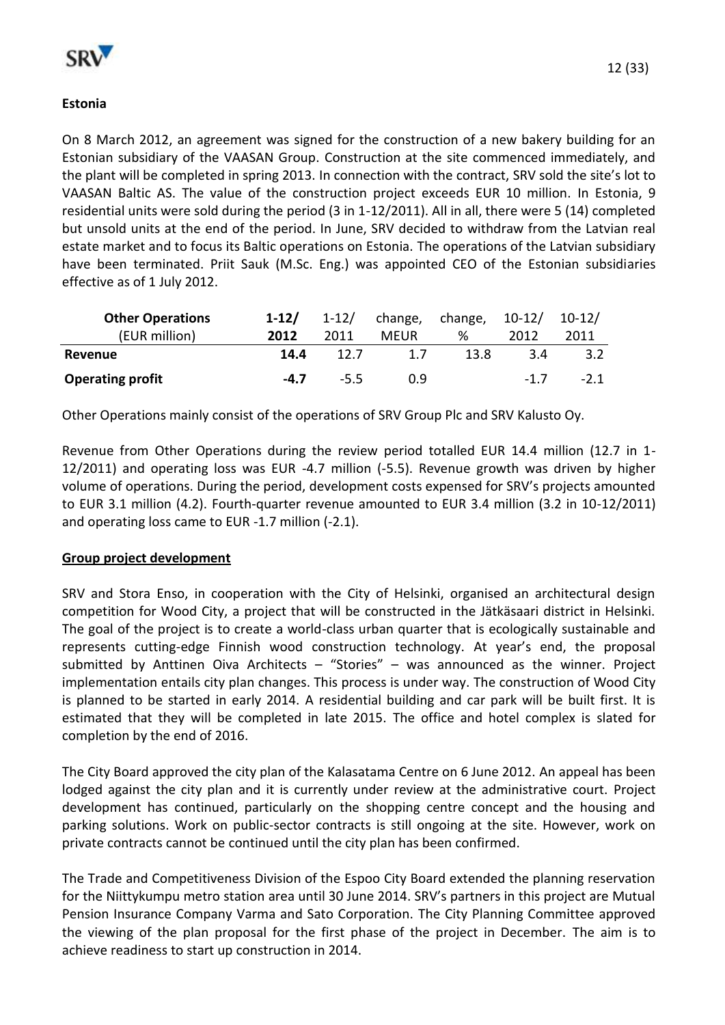

## **Estonia**

On 8 March 2012, an agreement was signed for the construction of a new bakery building for an Estonian subsidiary of the VAASAN Group. Construction at the site commenced immediately, and the plant will be completed in spring 2013. In connection with the contract, SRV sold the site's lot to VAASAN Baltic AS. The value of the construction project exceeds EUR 10 million. In Estonia, 9 residential units were sold during the period (3 in 1-12/2011). All in all, there were 5 (14) completed but unsold units at the end of the period. In June, SRV decided to withdraw from the Latvian real estate market and to focus its Baltic operations on Estonia. The operations of the Latvian subsidiary have been terminated. Priit Sauk (M.Sc. Eng.) was appointed CEO of the Estonian subsidiaries effective as of 1 July 2012.

| <b>Other Operations</b> | $1-12/$ | $1 - 12/$ |             | change, change, 10-12/ |        | $10 - 12/$ |
|-------------------------|---------|-----------|-------------|------------------------|--------|------------|
| (EUR million)           | 2012    | 2011      | <b>MEUR</b> | ℅                      | 2012   | 2011       |
| Revenue                 | 14.4    | 12.7      | 1.7         | 13.8                   | 3.4    | 3.2        |
| <b>Operating profit</b> | $-4.7$  | $-5.5$    | 0.9         |                        | $-1$ 7 | $-2.1$     |

Other Operations mainly consist of the operations of SRV Group Plc and SRV Kalusto Oy.

Revenue from Other Operations during the review period totalled EUR 14.4 million (12.7 in 1- 12/2011) and operating loss was EUR -4.7 million (-5.5). Revenue growth was driven by higher volume of operations. During the period, development costs expensed for SRV's projects amounted to EUR 3.1 million (4.2). Fourth-quarter revenue amounted to EUR 3.4 million (3.2 in 10-12/2011) and operating loss came to EUR -1.7 million (-2.1).

#### **Group project development**

SRV and Stora Enso, in cooperation with the City of Helsinki, organised an architectural design competition for Wood City, a project that will be constructed in the Jätkäsaari district in Helsinki. The goal of the project is to create a world-class urban quarter that is ecologically sustainable and represents cutting-edge Finnish wood construction technology. At year's end, the proposal submitted by Anttinen Oiva Architects – "Stories" – was announced as the winner. Project implementation entails city plan changes. This process is under way. The construction of Wood City is planned to be started in early 2014. A residential building and car park will be built first. It is estimated that they will be completed in late 2015. The office and hotel complex is slated for completion by the end of 2016.

The City Board approved the city plan of the Kalasatama Centre on 6 June 2012. An appeal has been lodged against the city plan and it is currently under review at the administrative court. Project development has continued, particularly on the shopping centre concept and the housing and parking solutions. Work on public-sector contracts is still ongoing at the site. However, work on private contracts cannot be continued until the city plan has been confirmed.

The Trade and Competitiveness Division of the Espoo City Board extended the planning reservation for the Niittykumpu metro station area until 30 June 2014. SRV's partners in this project are Mutual Pension Insurance Company Varma and Sato Corporation. The City Planning Committee approved the viewing of the plan proposal for the first phase of the project in December. The aim is to achieve readiness to start up construction in 2014.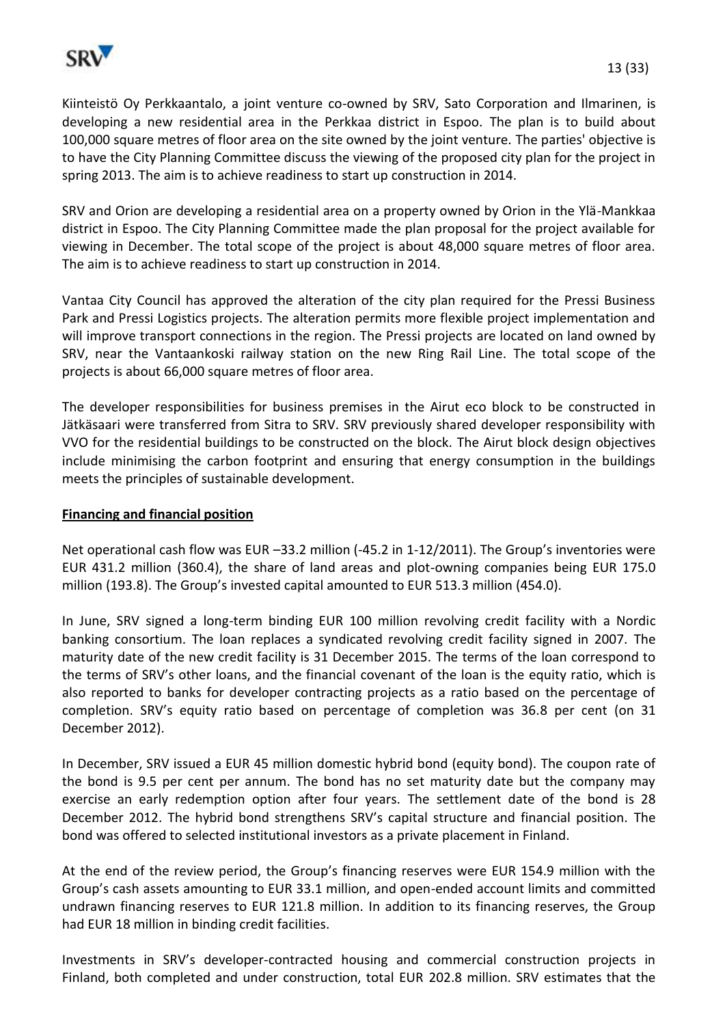

Kiinteistö Oy Perkkaantalo, a joint venture co-owned by SRV, Sato Corporation and Ilmarinen, is developing a new residential area in the Perkkaa district in Espoo. The plan is to build about 100,000 square metres of floor area on the site owned by the joint venture. The parties' objective is to have the City Planning Committee discuss the viewing of the proposed city plan for the project in spring 2013. The aim is to achieve readiness to start up construction in 2014.

SRV and Orion are developing a residential area on a property owned by Orion in the Ylä-Mankkaa district in Espoo. The City Planning Committee made the plan proposal for the project available for viewing in December. The total scope of the project is about 48,000 square metres of floor area. The aim is to achieve readiness to start up construction in 2014.

Vantaa City Council has approved the alteration of the city plan required for the Pressi Business Park and Pressi Logistics projects. The alteration permits more flexible project implementation and will improve transport connections in the region. The Pressi projects are located on land owned by SRV, near the Vantaankoski railway station on the new Ring Rail Line. The total scope of the projects is about 66,000 square metres of floor area.

The developer responsibilities for business premises in the Airut eco block to be constructed in Jätkäsaari were transferred from Sitra to SRV. SRV previously shared developer responsibility with VVO for the residential buildings to be constructed on the block. The Airut block design objectives include minimising the carbon footprint and ensuring that energy consumption in the buildings meets the principles of sustainable development.

### **Financing and financial position**

Net operational cash flow was EUR –33.2 million (-45.2 in 1-12/2011). The Group's inventories were EUR 431.2 million (360.4), the share of land areas and plot-owning companies being EUR 175.0 million (193.8). The Group's invested capital amounted to EUR 513.3 million (454.0).

In June, SRV signed a long-term binding EUR 100 million revolving credit facility with a Nordic banking consortium. The loan replaces a syndicated revolving credit facility signed in 2007. The maturity date of the new credit facility is 31 December 2015. The terms of the loan correspond to the terms of SRV's other loans, and the financial covenant of the loan is the equity ratio, which is also reported to banks for developer contracting projects as a ratio based on the percentage of completion. SRV's equity ratio based on percentage of completion was 36.8 per cent (on 31 December 2012).

In December, SRV issued a EUR 45 million domestic hybrid bond (equity bond). The coupon rate of the bond is 9.5 per cent per annum. The bond has no set maturity date but the company may exercise an early redemption option after four years. The settlement date of the bond is 28 December 2012. The hybrid bond strengthens SRV's capital structure and financial position. The bond was offered to selected institutional investors as a private placement in Finland.

At the end of the review period, the Group's financing reserves were EUR 154.9 million with the Group's cash assets amounting to EUR 33.1 million, and open-ended account limits and committed undrawn financing reserves to EUR 121.8 million. In addition to its financing reserves, the Group had EUR 18 million in binding credit facilities.

Investments in SRV's developer-contracted housing and commercial construction projects in Finland, both completed and under construction, total EUR 202.8 million. SRV estimates that the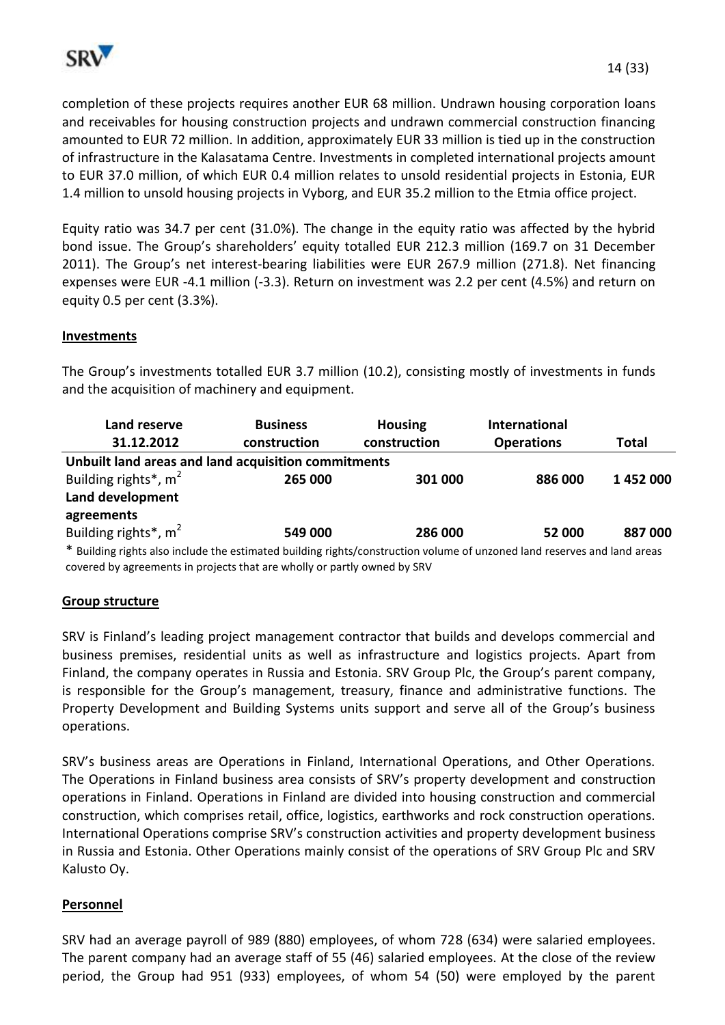

completion of these projects requires another EUR 68 million. Undrawn housing corporation loans and receivables for housing construction projects and undrawn commercial construction financing amounted to EUR 72 million. In addition, approximately EUR 33 million is tied up in the construction of infrastructure in the Kalasatama Centre. Investments in completed international projects amount to EUR 37.0 million, of which EUR 0.4 million relates to unsold residential projects in Estonia, EUR 1.4 million to unsold housing projects in Vyborg, and EUR 35.2 million to the Etmia office project.

Equity ratio was 34.7 per cent (31.0%). The change in the equity ratio was affected by the hybrid bond issue. The Group's shareholders' equity totalled EUR 212.3 million (169.7 on 31 December 2011). The Group's net interest-bearing liabilities were EUR 267.9 million (271.8). Net financing expenses were EUR -4.1 million (-3.3). Return on investment was 2.2 per cent (4.5%) and return on equity 0.5 per cent (3.3%).

## **Investments**

The Group's investments totalled EUR 3.7 million (10.2), consisting mostly of investments in funds and the acquisition of machinery and equipment.

| Land reserve                                                                                                             | <b>Business</b> | <b>Housing</b> | <b>International</b> |              |  |
|--------------------------------------------------------------------------------------------------------------------------|-----------------|----------------|----------------------|--------------|--|
| 31.12.2012                                                                                                               | construction    | construction   | <b>Operations</b>    | <b>Total</b> |  |
| Unbuilt land areas and land acquisition commitments                                                                      |                 |                |                      |              |  |
| Building rights <sup>*</sup> , $m2$                                                                                      | 265 000         | 301 000        | 886 000              | 1452000      |  |
| Land development                                                                                                         |                 |                |                      |              |  |
| agreements                                                                                                               |                 |                |                      |              |  |
| Building rights <sup>*</sup> , m <sup>2</sup>                                                                            | 549 000         | 286 000        | 52 000               | 887000       |  |
| * Building rights also include the estimated building rights/construction volume of unzoned land reserves and land areas |                 |                |                      |              |  |

covered by agreements in projects that are wholly or partly owned by SRV

#### **Group structure**

SRV is Finland's leading project management contractor that builds and develops commercial and business premises, residential units as well as infrastructure and logistics projects. Apart from Finland, the company operates in Russia and Estonia. SRV Group Plc, the Group's parent company, is responsible for the Group's management, treasury, finance and administrative functions. The Property Development and Building Systems units support and serve all of the Group's business operations.

SRV's business areas are Operations in Finland, International Operations, and Other Operations. The Operations in Finland business area consists of SRV's property development and construction operations in Finland. Operations in Finland are divided into housing construction and commercial construction, which comprises retail, office, logistics, earthworks and rock construction operations. International Operations comprise SRV's construction activities and property development business in Russia and Estonia. Other Operations mainly consist of the operations of SRV Group Plc and SRV Kalusto Oy.

#### **Personnel**

SRV had an average payroll of 989 (880) employees, of whom 728 (634) were salaried employees. The parent company had an average staff of 55 (46) salaried employees. At the close of the review period, the Group had 951 (933) employees, of whom 54 (50) were employed by the parent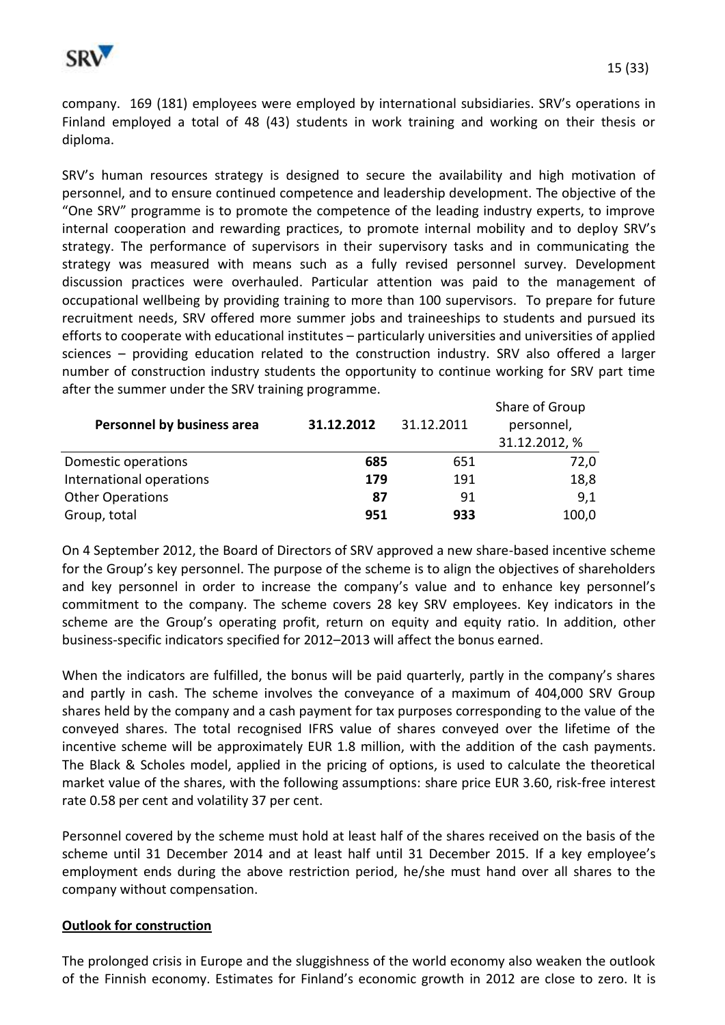

company. 169 (181) employees were employed by international subsidiaries. SRV's operations in Finland employed a total of 48 (43) students in work training and working on their thesis or diploma.

SRV's human resources strategy is designed to secure the availability and high motivation of personnel, and to ensure continued competence and leadership development. The objective of the "One SRV" programme is to promote the competence of the leading industry experts, to improve internal cooperation and rewarding practices, to promote internal mobility and to deploy SRV's strategy. The performance of supervisors in their supervisory tasks and in communicating the strategy was measured with means such as a fully revised personnel survey. Development discussion practices were overhauled. Particular attention was paid to the management of occupational wellbeing by providing training to more than 100 supervisors. To prepare for future recruitment needs, SRV offered more summer jobs and traineeships to students and pursued its efforts to cooperate with educational institutes – particularly universities and universities of applied sciences – providing education related to the construction industry. SRV also offered a larger number of construction industry students the opportunity to continue working for SRV part time after the summer under the SRV training programme.

| Personnel by business area | 31.12.2012 | 31.12.2011 | Share of Group<br>personnel,<br>31.12.2012, % |
|----------------------------|------------|------------|-----------------------------------------------|
| Domestic operations        | 685        | 651        | 72,0                                          |
| International operations   | 179        | 191        | 18,8                                          |
| <b>Other Operations</b>    | 87         | 91         | 9,1                                           |
| Group, total               | 951        | 933        | 100,0                                         |

On 4 September 2012, the Board of Directors of SRV approved a new share-based incentive scheme for the Group's key personnel. The purpose of the scheme is to align the objectives of shareholders and key personnel in order to increase the company's value and to enhance key personnel's commitment to the company. The scheme covers 28 key SRV employees. Key indicators in the scheme are the Group's operating profit, return on equity and equity ratio. In addition, other business-specific indicators specified for 2012–2013 will affect the bonus earned.

When the indicators are fulfilled, the bonus will be paid quarterly, partly in the company's shares and partly in cash. The scheme involves the conveyance of a maximum of 404,000 SRV Group shares held by the company and a cash payment for tax purposes corresponding to the value of the conveyed shares. The total recognised IFRS value of shares conveyed over the lifetime of the incentive scheme will be approximately EUR 1.8 million, with the addition of the cash payments. The Black & Scholes model, applied in the pricing of options, is used to calculate the theoretical market value of the shares, with the following assumptions: share price EUR 3.60, risk-free interest rate 0.58 per cent and volatility 37 per cent.

Personnel covered by the scheme must hold at least half of the shares received on the basis of the scheme until 31 December 2014 and at least half until 31 December 2015. If a key employee's employment ends during the above restriction period, he/she must hand over all shares to the company without compensation.

#### **Outlook for construction**

The prolonged crisis in Europe and the sluggishness of the world economy also weaken the outlook of the Finnish economy. Estimates for Finland's economic growth in 2012 are close to zero. It is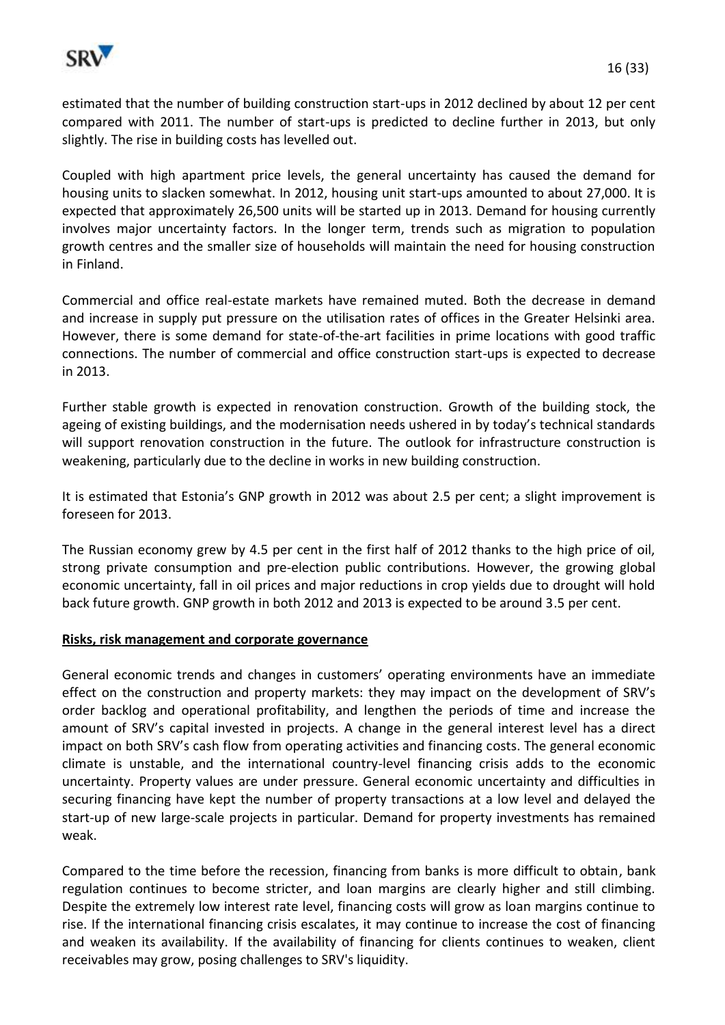

estimated that the number of building construction start-ups in 2012 declined by about 12 per cent compared with 2011. The number of start-ups is predicted to decline further in 2013, but only slightly. The rise in building costs has levelled out.

Coupled with high apartment price levels, the general uncertainty has caused the demand for housing units to slacken somewhat. In 2012, housing unit start-ups amounted to about 27,000. It is expected that approximately 26,500 units will be started up in 2013. Demand for housing currently involves major uncertainty factors. In the longer term, trends such as migration to population growth centres and the smaller size of households will maintain the need for housing construction in Finland.

Commercial and office real-estate markets have remained muted. Both the decrease in demand and increase in supply put pressure on the utilisation rates of offices in the Greater Helsinki area. However, there is some demand for state-of-the-art facilities in prime locations with good traffic connections. The number of commercial and office construction start-ups is expected to decrease in 2013.

Further stable growth is expected in renovation construction. Growth of the building stock, the ageing of existing buildings, and the modernisation needs ushered in by today's technical standards will support renovation construction in the future. The outlook for infrastructure construction is weakening, particularly due to the decline in works in new building construction.

It is estimated that Estonia's GNP growth in 2012 was about 2.5 per cent; a slight improvement is foreseen for 2013.

The Russian economy grew by 4.5 per cent in the first half of 2012 thanks to the high price of oil, strong private consumption and pre-election public contributions. However, the growing global economic uncertainty, fall in oil prices and major reductions in crop yields due to drought will hold back future growth. GNP growth in both 2012 and 2013 is expected to be around 3.5 per cent.

#### **Risks, risk management and corporate governance**

General economic trends and changes in customers' operating environments have an immediate effect on the construction and property markets: they may impact on the development of SRV's order backlog and operational profitability, and lengthen the periods of time and increase the amount of SRV's capital invested in projects. A change in the general interest level has a direct impact on both SRV's cash flow from operating activities and financing costs. The general economic climate is unstable, and the international country-level financing crisis adds to the economic uncertainty. Property values are under pressure. General economic uncertainty and difficulties in securing financing have kept the number of property transactions at a low level and delayed the start-up of new large-scale projects in particular. Demand for property investments has remained weak.

Compared to the time before the recession, financing from banks is more difficult to obtain, bank regulation continues to become stricter, and loan margins are clearly higher and still climbing. Despite the extremely low interest rate level, financing costs will grow as loan margins continue to rise. If the international financing crisis escalates, it may continue to increase the cost of financing and weaken its availability. If the availability of financing for clients continues to weaken, client receivables may grow, posing challenges to SRV's liquidity.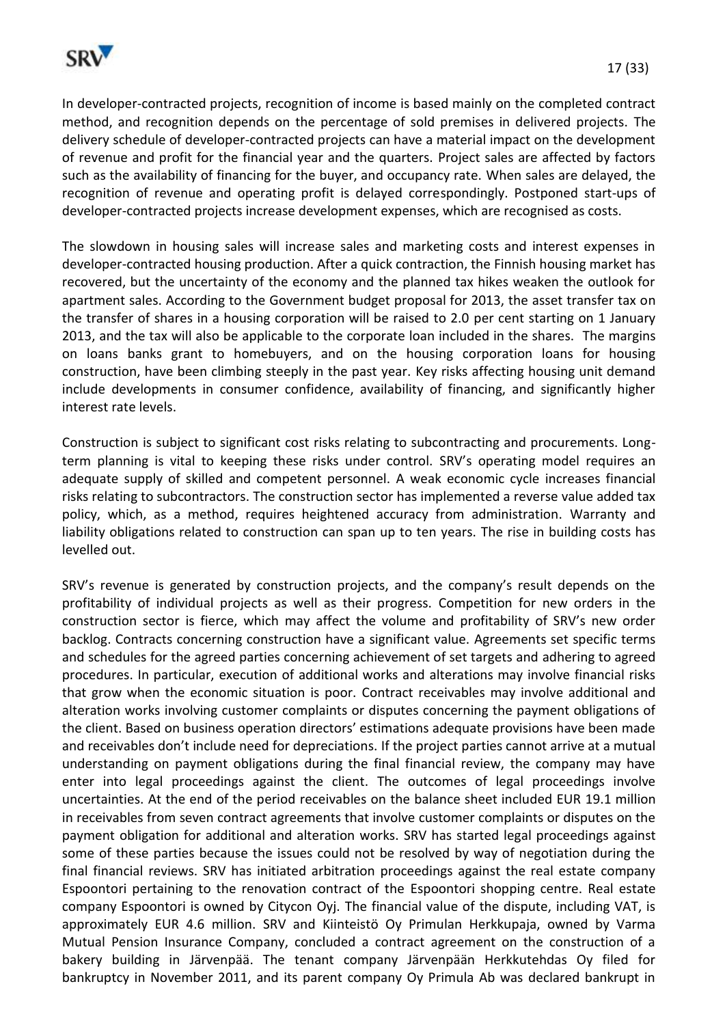

In developer-contracted projects, recognition of income is based mainly on the completed contract method, and recognition depends on the percentage of sold premises in delivered projects. The delivery schedule of developer-contracted projects can have a material impact on the development of revenue and profit for the financial year and the quarters. Project sales are affected by factors such as the availability of financing for the buyer, and occupancy rate. When sales are delayed, the recognition of revenue and operating profit is delayed correspondingly. Postponed start-ups of developer-contracted projects increase development expenses, which are recognised as costs.

The slowdown in housing sales will increase sales and marketing costs and interest expenses in developer-contracted housing production. After a quick contraction, the Finnish housing market has recovered, but the uncertainty of the economy and the planned tax hikes weaken the outlook for apartment sales. According to the Government budget proposal for 2013, the asset transfer tax on the transfer of shares in a housing corporation will be raised to 2.0 per cent starting on 1 January 2013, and the tax will also be applicable to the corporate loan included in the shares. The margins on loans banks grant to homebuyers, and on the housing corporation loans for housing construction, have been climbing steeply in the past year. Key risks affecting housing unit demand include developments in consumer confidence, availability of financing, and significantly higher interest rate levels.

Construction is subject to significant cost risks relating to subcontracting and procurements. Longterm planning is vital to keeping these risks under control. SRV's operating model requires an adequate supply of skilled and competent personnel. A weak economic cycle increases financial risks relating to subcontractors. The construction sector has implemented a reverse value added tax policy, which, as a method, requires heightened accuracy from administration. Warranty and liability obligations related to construction can span up to ten years. The rise in building costs has levelled out.

SRV's revenue is generated by construction projects, and the company's result depends on the profitability of individual projects as well as their progress. Competition for new orders in the construction sector is fierce, which may affect the volume and profitability of SRV's new order backlog. Contracts concerning construction have a significant value. Agreements set specific terms and schedules for the agreed parties concerning achievement of set targets and adhering to agreed procedures. In particular, execution of additional works and alterations may involve financial risks that grow when the economic situation is poor. Contract receivables may involve additional and alteration works involving customer complaints or disputes concerning the payment obligations of the client. Based on business operation directors' estimations adequate provisions have been made and receivables don't include need for depreciations. If the project parties cannot arrive at a mutual understanding on payment obligations during the final financial review, the company may have enter into legal proceedings against the client. The outcomes of legal proceedings involve uncertainties. At the end of the period receivables on the balance sheet included EUR 19.1 million in receivables from seven contract agreements that involve customer complaints or disputes on the payment obligation for additional and alteration works. SRV has started legal proceedings against some of these parties because the issues could not be resolved by way of negotiation during the final financial reviews. SRV has initiated arbitration proceedings against the real estate company Espoontori pertaining to the renovation contract of the Espoontori shopping centre. Real estate company Espoontori is owned by Citycon Oyj. The financial value of the dispute, including VAT, is approximately EUR 4.6 million. SRV and Kiinteistö Oy Primulan Herkkupaja, owned by Varma Mutual Pension Insurance Company, concluded a contract agreement on the construction of a bakery building in Järvenpää. The tenant company Järvenpään Herkkutehdas Oy filed for bankruptcy in November 2011, and its parent company Oy Primula Ab was declared bankrupt in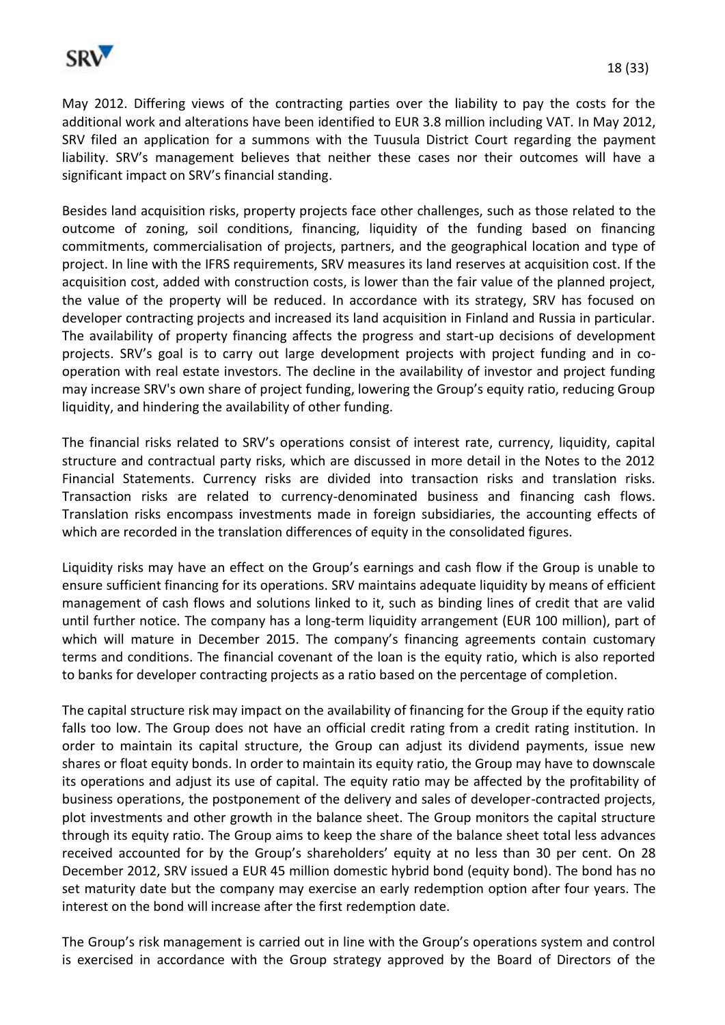

May 2012. Differing views of the contracting parties over the liability to pay the costs for the additional work and alterations have been identified to EUR 3.8 million including VAT. In May 2012, SRV filed an application for a summons with the Tuusula District Court regarding the payment liability. SRV's management believes that neither these cases nor their outcomes will have a significant impact on SRV's financial standing.

Besides land acquisition risks, property projects face other challenges, such as those related to the outcome of zoning, soil conditions, financing, liquidity of the funding based on financing commitments, commercialisation of projects, partners, and the geographical location and type of project. In line with the IFRS requirements, SRV measures its land reserves at acquisition cost. If the acquisition cost, added with construction costs, is lower than the fair value of the planned project, the value of the property will be reduced. In accordance with its strategy, SRV has focused on developer contracting projects and increased its land acquisition in Finland and Russia in particular. The availability of property financing affects the progress and start-up decisions of development projects. SRV's goal is to carry out large development projects with project funding and in cooperation with real estate investors. The decline in the availability of investor and project funding may increase SRV's own share of project funding, lowering the Group's equity ratio, reducing Group liquidity, and hindering the availability of other funding.

The financial risks related to SRV's operations consist of interest rate, currency, liquidity, capital structure and contractual party risks, which are discussed in more detail in the Notes to the 2012 Financial Statements. Currency risks are divided into transaction risks and translation risks. Transaction risks are related to currency-denominated business and financing cash flows. Translation risks encompass investments made in foreign subsidiaries, the accounting effects of which are recorded in the translation differences of equity in the consolidated figures.

Liquidity risks may have an effect on the Group's earnings and cash flow if the Group is unable to ensure sufficient financing for its operations. SRV maintains adequate liquidity by means of efficient management of cash flows and solutions linked to it, such as binding lines of credit that are valid until further notice. The company has a long-term liquidity arrangement (EUR 100 million), part of which will mature in December 2015. The company's financing agreements contain customary terms and conditions. The financial covenant of the loan is the equity ratio, which is also reported to banks for developer contracting projects as a ratio based on the percentage of completion.

The capital structure risk may impact on the availability of financing for the Group if the equity ratio falls too low. The Group does not have an official credit rating from a credit rating institution. In order to maintain its capital structure, the Group can adjust its dividend payments, issue new shares or float equity bonds. In order to maintain its equity ratio, the Group may have to downscale its operations and adjust its use of capital. The equity ratio may be affected by the profitability of business operations, the postponement of the delivery and sales of developer-contracted projects, plot investments and other growth in the balance sheet. The Group monitors the capital structure through its equity ratio. The Group aims to keep the share of the balance sheet total less advances received accounted for by the Group's shareholders' equity at no less than 30 per cent. On 28 December 2012, SRV issued a EUR 45 million domestic hybrid bond (equity bond). The bond has no set maturity date but the company may exercise an early redemption option after four years. The interest on the bond will increase after the first redemption date.

The Group's risk management is carried out in line with the Group's operations system and control is exercised in accordance with the Group strategy approved by the Board of Directors of the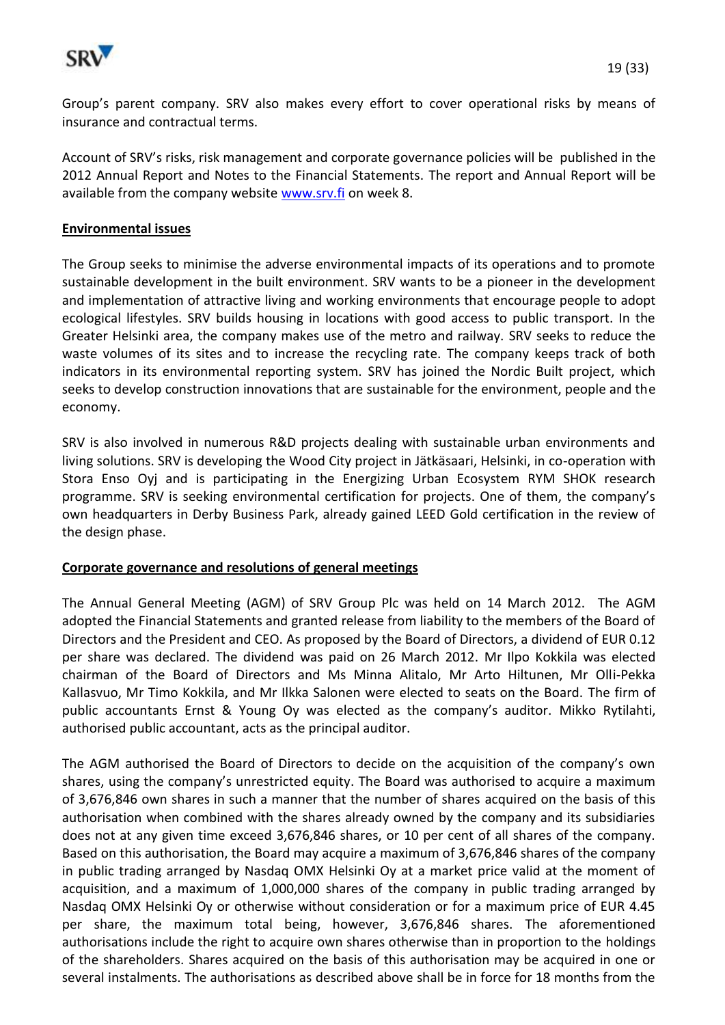

Group's parent company. SRV also makes every effort to cover operational risks by means of insurance and contractual terms.

Account of SRV's risks, risk management and corporate governance policies will be published in the 2012 Annual Report and Notes to the Financial Statements. The report and Annual Report will be available from the company website [www.srv.fi](http://www.srv.fi/) on week 8.

#### **Environmental issues**

The Group seeks to minimise the adverse environmental impacts of its operations and to promote sustainable development in the built environment. SRV wants to be a pioneer in the development and implementation of attractive living and working environments that encourage people to adopt ecological lifestyles. SRV builds housing in locations with good access to public transport. In the Greater Helsinki area, the company makes use of the metro and railway. SRV seeks to reduce the waste volumes of its sites and to increase the recycling rate. The company keeps track of both indicators in its environmental reporting system. SRV has joined the Nordic Built project, which seeks to develop construction innovations that are sustainable for the environment, people and the economy.

SRV is also involved in numerous R&D projects dealing with sustainable urban environments and living solutions. SRV is developing the Wood City project in Jätkäsaari, Helsinki, in co-operation with Stora Enso Oyj and is participating in the Energizing Urban Ecosystem RYM SHOK research programme. SRV is seeking environmental certification for projects. One of them, the company's own headquarters in Derby Business Park, already gained LEED Gold certification in the review of the design phase.

#### **Corporate governance and resolutions of general meetings**

The Annual General Meeting (AGM) of SRV Group Plc was held on 14 March 2012. The AGM adopted the Financial Statements and granted release from liability to the members of the Board of Directors and the President and CEO. As proposed by the Board of Directors, a dividend of EUR 0.12 per share was declared. The dividend was paid on 26 March 2012. Mr Ilpo Kokkila was elected chairman of the Board of Directors and Ms Minna Alitalo, Mr Arto Hiltunen, Mr Olli-Pekka Kallasvuo, Mr Timo Kokkila, and Mr Ilkka Salonen were elected to seats on the Board. The firm of public accountants Ernst & Young Oy was elected as the company's auditor. Mikko Rytilahti, authorised public accountant, acts as the principal auditor.

The AGM authorised the Board of Directors to decide on the acquisition of the company's own shares, using the company's unrestricted equity. The Board was authorised to acquire a maximum of 3,676,846 own shares in such a manner that the number of shares acquired on the basis of this authorisation when combined with the shares already owned by the company and its subsidiaries does not at any given time exceed 3,676,846 shares, or 10 per cent of all shares of the company. Based on this authorisation, the Board may acquire a maximum of 3,676,846 shares of the company in public trading arranged by Nasdaq OMX Helsinki Oy at a market price valid at the moment of acquisition, and a maximum of 1,000,000 shares of the company in public trading arranged by Nasdaq OMX Helsinki Oy or otherwise without consideration or for a maximum price of EUR 4.45 per share, the maximum total being, however, 3,676,846 shares. The aforementioned authorisations include the right to acquire own shares otherwise than in proportion to the holdings of the shareholders. Shares acquired on the basis of this authorisation may be acquired in one or several instalments. The authorisations as described above shall be in force for 18 months from the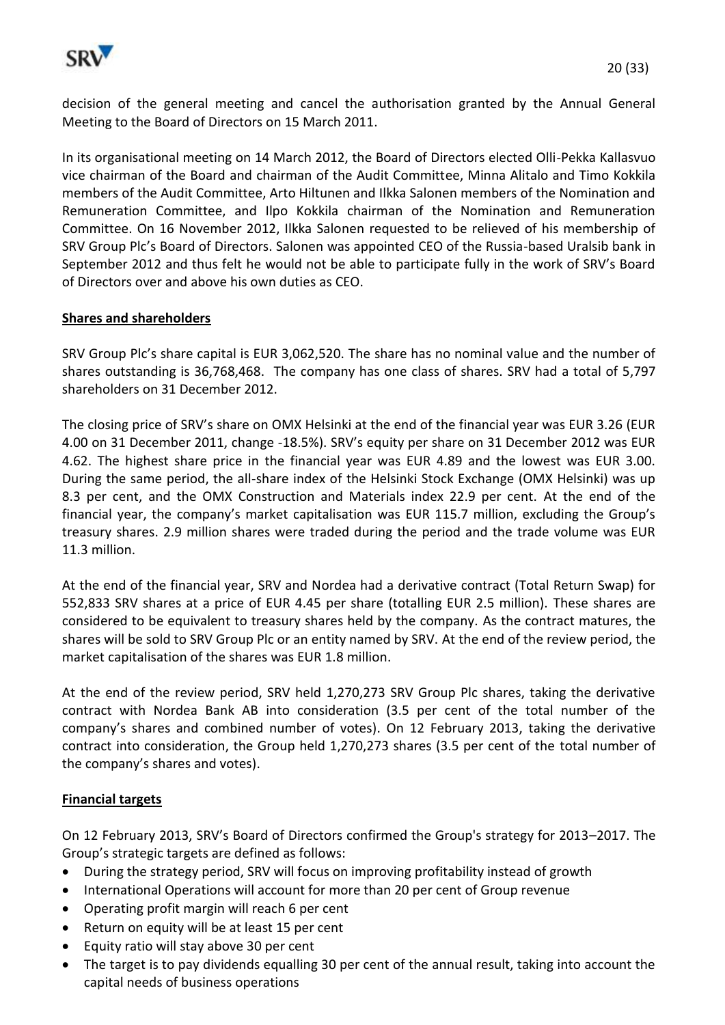

decision of the general meeting and cancel the authorisation granted by the Annual General Meeting to the Board of Directors on 15 March 2011.

In its organisational meeting on 14 March 2012, the Board of Directors elected Olli-Pekka Kallasvuo vice chairman of the Board and chairman of the Audit Committee, Minna Alitalo and Timo Kokkila members of the Audit Committee, Arto Hiltunen and Ilkka Salonen members of the Nomination and Remuneration Committee, and Ilpo Kokkila chairman of the Nomination and Remuneration Committee. On 16 November 2012, Ilkka Salonen requested to be relieved of his membership of SRV Group Plc's Board of Directors. Salonen was appointed CEO of the Russia-based Uralsib bank in September 2012 and thus felt he would not be able to participate fully in the work of SRV's Board of Directors over and above his own duties as CEO.

### **Shares and shareholders**

SRV Group Plc's share capital is EUR 3,062,520. The share has no nominal value and the number of shares outstanding is 36,768,468. The company has one class of shares. SRV had a total of 5,797 shareholders on 31 December 2012.

The closing price of SRV's share on OMX Helsinki at the end of the financial year was EUR 3.26 (EUR 4.00 on 31 December 2011, change -18.5%). SRV's equity per share on 31 December 2012 was EUR 4.62. The highest share price in the financial year was EUR 4.89 and the lowest was EUR 3.00. During the same period, the all-share index of the Helsinki Stock Exchange (OMX Helsinki) was up 8.3 per cent, and the OMX Construction and Materials index 22.9 per cent. At the end of the financial year, the company's market capitalisation was EUR 115.7 million, excluding the Group's treasury shares. 2.9 million shares were traded during the period and the trade volume was EUR 11.3 million.

At the end of the financial year, SRV and Nordea had a derivative contract (Total Return Swap) for 552,833 SRV shares at a price of EUR 4.45 per share (totalling EUR 2.5 million). These shares are considered to be equivalent to treasury shares held by the company. As the contract matures, the shares will be sold to SRV Group Plc or an entity named by SRV. At the end of the review period, the market capitalisation of the shares was EUR 1.8 million.

At the end of the review period, SRV held 1,270,273 SRV Group Plc shares, taking the derivative contract with Nordea Bank AB into consideration (3.5 per cent of the total number of the company's shares and combined number of votes). On 12 February 2013, taking the derivative contract into consideration, the Group held 1,270,273 shares (3.5 per cent of the total number of the company's shares and votes).

#### **Financial targets**

On 12 February 2013, SRV's Board of Directors confirmed the Group's strategy for 2013–2017. The Group's strategic targets are defined as follows:

- During the strategy period, SRV will focus on improving profitability instead of growth
- International Operations will account for more than 20 per cent of Group revenue
- Operating profit margin will reach 6 per cent
- Return on equity will be at least 15 per cent
- Equity ratio will stay above 30 per cent
- The target is to pay dividends equalling 30 per cent of the annual result, taking into account the capital needs of business operations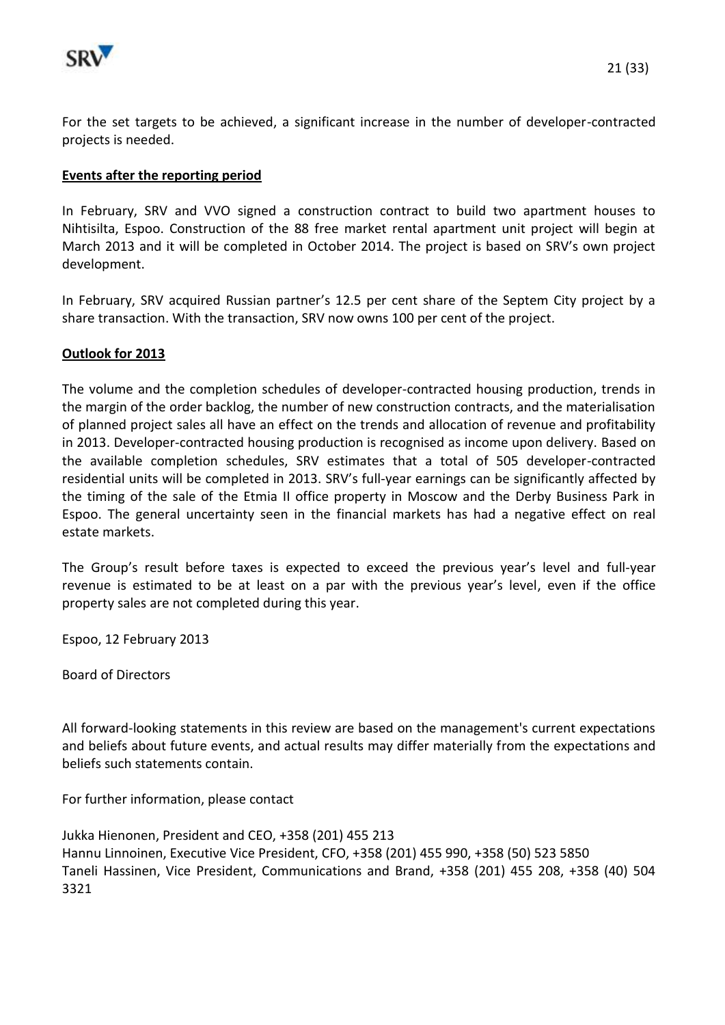

For the set targets to be achieved, a significant increase in the number of developer-contracted projects is needed.

#### **Events after the reporting period**

In February, SRV and VVO signed a construction contract to build two apartment houses to Nihtisilta, Espoo. Construction of the 88 free market rental apartment unit project will begin at March 2013 and it will be completed in October 2014. The project is based on SRV's own project development.

In February, SRV acquired Russian partner's 12.5 per cent share of the Septem City project by a share transaction. With the transaction, SRV now owns 100 per cent of the project.

#### **Outlook for 2013**

The volume and the completion schedules of developer-contracted housing production, trends in the margin of the order backlog, the number of new construction contracts, and the materialisation of planned project sales all have an effect on the trends and allocation of revenue and profitability in 2013. Developer-contracted housing production is recognised as income upon delivery. Based on the available completion schedules, SRV estimates that a total of 505 developer-contracted residential units will be completed in 2013. SRV's full-year earnings can be significantly affected by the timing of the sale of the Etmia II office property in Moscow and the Derby Business Park in Espoo. The general uncertainty seen in the financial markets has had a negative effect on real estate markets.

The Group's result before taxes is expected to exceed the previous year's level and full-year revenue is estimated to be at least on a par with the previous year's level, even if the office property sales are not completed during this year.

Espoo, 12 February 2013

Board of Directors

All forward-looking statements in this review are based on the management's current expectations and beliefs about future events, and actual results may differ materially from the expectations and beliefs such statements contain.

For further information, please contact

Jukka Hienonen, President and CEO, +358 (201) 455 213 Hannu Linnoinen, Executive Vice President, CFO, +358 (201) 455 990, +358 (50) 523 5850 Taneli Hassinen, Vice President, Communications and Brand, +358 (201) 455 208, +358 (40) 504 3321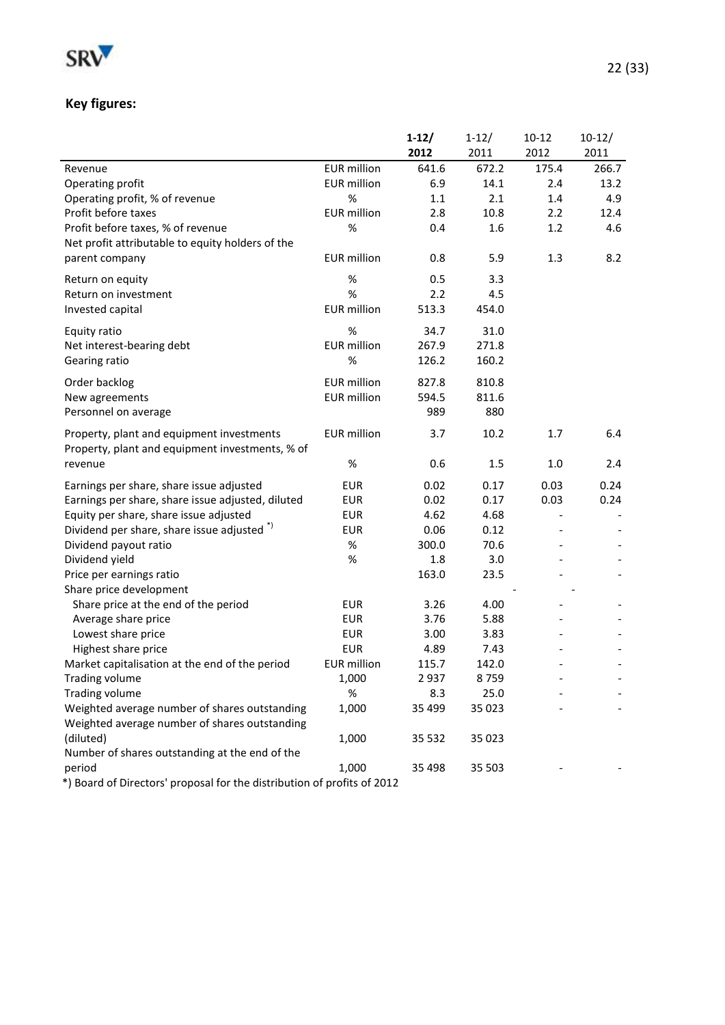

# **Key figures:**

|                                                                                              |                    | $1-12/$ | $1 - 12/$ | $10 - 12$ | $10-12/$ |
|----------------------------------------------------------------------------------------------|--------------------|---------|-----------|-----------|----------|
|                                                                                              |                    | 2012    | 2011      | 2012      | 2011     |
| Revenue                                                                                      | <b>EUR</b> million | 641.6   | 672.2     | 175.4     | 266.7    |
| Operating profit                                                                             | <b>EUR</b> million | 6.9     | 14.1      | 2.4       | 13.2     |
| Operating profit, % of revenue                                                               | %                  | $1.1\,$ | 2.1       | 1.4       | 4.9      |
| Profit before taxes                                                                          | <b>EUR</b> million | 2.8     | 10.8      | 2.2       | 12.4     |
| Profit before taxes, % of revenue                                                            | %                  | 0.4     | 1.6       | 1.2       | 4.6      |
| Net profit attributable to equity holders of the                                             |                    |         |           |           |          |
| parent company                                                                               | <b>EUR</b> million | 0.8     | 5.9       | 1.3       | 8.2      |
| Return on equity                                                                             | %                  | 0.5     | 3.3       |           |          |
| Return on investment                                                                         | %                  | 2.2     | 4.5       |           |          |
| Invested capital                                                                             | <b>EUR</b> million | 513.3   | 454.0     |           |          |
| Equity ratio                                                                                 | %                  | 34.7    | 31.0      |           |          |
| Net interest-bearing debt                                                                    | <b>EUR</b> million | 267.9   | 271.8     |           |          |
| Gearing ratio                                                                                | %                  | 126.2   | 160.2     |           |          |
| Order backlog                                                                                | <b>EUR</b> million | 827.8   | 810.8     |           |          |
| New agreements                                                                               | <b>EUR</b> million | 594.5   | 811.6     |           |          |
| Personnel on average                                                                         |                    | 989     | 880       |           |          |
| Property, plant and equipment investments<br>Property, plant and equipment investments, % of | <b>EUR</b> million | 3.7     | 10.2      | 1.7       | 6.4      |
| revenue                                                                                      | %                  | 0.6     | 1.5       | 1.0       | 2.4      |
| Earnings per share, share issue adjusted                                                     | <b>EUR</b>         | 0.02    | 0.17      | 0.03      | 0.24     |
| Earnings per share, share issue adjusted, diluted                                            | <b>EUR</b>         | 0.02    | 0.17      | 0.03      | 0.24     |
| Equity per share, share issue adjusted                                                       | <b>EUR</b>         | 4.62    | 4.68      |           |          |
| Dividend per share, share issue adjusted <sup>*)</sup>                                       | <b>EUR</b>         | 0.06    | 0.12      |           |          |
| Dividend payout ratio                                                                        | %                  | 300.0   | 70.6      |           |          |
| Dividend yield                                                                               | %                  | 1.8     | 3.0       |           |          |
| Price per earnings ratio                                                                     |                    | 163.0   | 23.5      |           |          |
| Share price development                                                                      |                    |         |           |           |          |
| Share price at the end of the period                                                         | <b>EUR</b>         | 3.26    | 4.00      |           |          |
| Average share price                                                                          | <b>EUR</b>         | 3.76    | 5.88      |           |          |
| Lowest share price                                                                           | <b>EUR</b>         | 3.00    | 3.83      |           |          |
| Highest share price                                                                          | <b>EUR</b>         | 4.89    | 7.43      |           |          |
| Market capitalisation at the end of the period                                               | <b>EUR</b> million | 115.7   | 142.0     |           |          |
| Trading volume                                                                               | 1,000              | 2937    | 8759      |           |          |
| Trading volume                                                                               | %                  | 8.3     | 25.0      |           |          |
| Weighted average number of shares outstanding                                                | 1,000              | 35 4 99 | 35 0 23   |           |          |
| Weighted average number of shares outstanding                                                |                    |         |           |           |          |
| (diluted)                                                                                    | 1,000              | 35 532  | 35 0 23   |           |          |
| Number of shares outstanding at the end of the                                               |                    |         |           |           |          |
| period                                                                                       | 1,000              | 35 4 98 | 35 503    |           |          |
| *) Board of Directors' proposal for the distribution of profits of 2012                      |                    |         |           |           |          |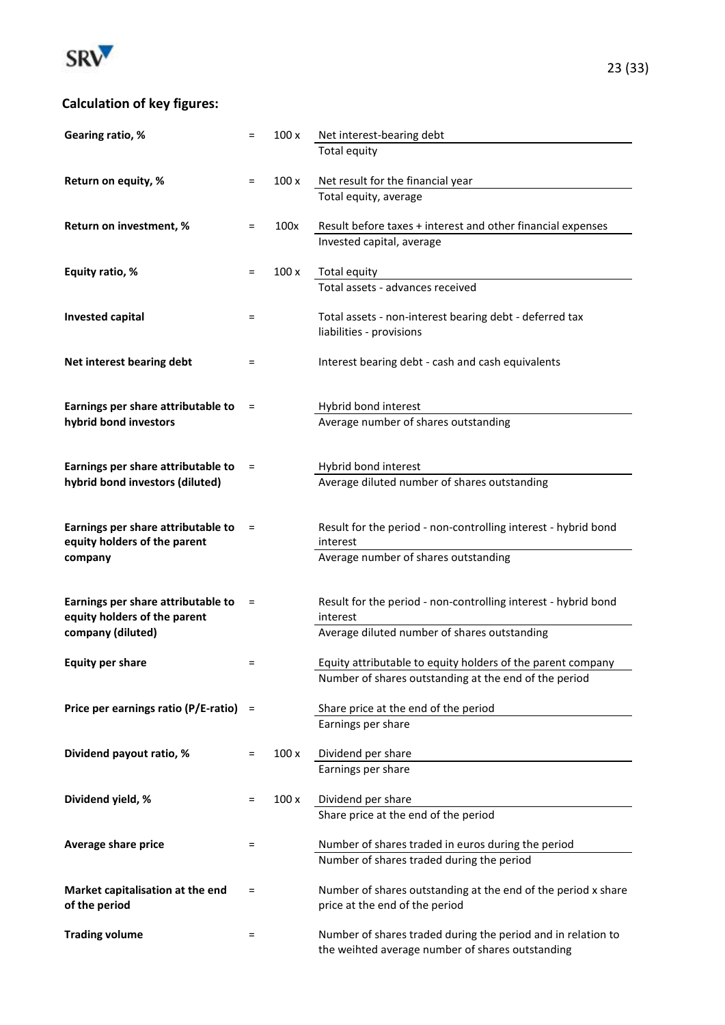

| Gearing ratio, %                                            | $=$      | 100x  | Net interest-bearing debt                                                                                        |
|-------------------------------------------------------------|----------|-------|------------------------------------------------------------------------------------------------------------------|
|                                                             |          |       | Total equity                                                                                                     |
|                                                             |          |       |                                                                                                                  |
| Return on equity, %                                         | $=$      | 100x  | Net result for the financial year                                                                                |
|                                                             |          |       | Total equity, average                                                                                            |
| Return on investment, %                                     | $=$      | 100x  | Result before taxes + interest and other financial expenses                                                      |
|                                                             |          |       | Invested capital, average                                                                                        |
|                                                             |          |       |                                                                                                                  |
| Equity ratio, %                                             | $=$      | 100x  | <b>Total equity</b>                                                                                              |
|                                                             |          |       | Total assets - advances received                                                                                 |
| <b>Invested capital</b>                                     | $=$      |       | Total assets - non-interest bearing debt - deferred tax                                                          |
|                                                             |          |       | liabilities - provisions                                                                                         |
|                                                             |          |       |                                                                                                                  |
| Net interest bearing debt                                   | $=$      |       | Interest bearing debt - cash and cash equivalents                                                                |
|                                                             |          |       |                                                                                                                  |
|                                                             |          |       |                                                                                                                  |
| Earnings per share attributable to<br>hybrid bond investors | $=$      |       | Hybrid bond interest<br>Average number of shares outstanding                                                     |
|                                                             |          |       |                                                                                                                  |
|                                                             |          |       |                                                                                                                  |
| Earnings per share attributable to                          | $\equiv$ |       | Hybrid bond interest                                                                                             |
| hybrid bond investors (diluted)                             |          |       | Average diluted number of shares outstanding                                                                     |
|                                                             |          |       |                                                                                                                  |
| Earnings per share attributable to                          | $=$      |       | Result for the period - non-controlling interest - hybrid bond                                                   |
| equity holders of the parent                                |          |       | interest                                                                                                         |
| company                                                     |          |       | Average number of shares outstanding                                                                             |
|                                                             |          |       |                                                                                                                  |
|                                                             |          |       |                                                                                                                  |
| Earnings per share attributable to                          | $=$      |       | Result for the period - non-controlling interest - hybrid bond                                                   |
| equity holders of the parent<br>company (diluted)           |          |       | interest<br>Average diluted number of shares outstanding                                                         |
|                                                             |          |       |                                                                                                                  |
| <b>Equity per share</b>                                     | Ξ        |       | Equity attributable to equity holders of the parent company                                                      |
|                                                             |          |       | Number of shares outstanding at the end of the period                                                            |
|                                                             |          |       |                                                                                                                  |
| Price per earnings ratio (P/E-ratio)                        |          |       | Share price at the end of the period                                                                             |
|                                                             |          |       | Earnings per share                                                                                               |
| Dividend payout ratio, %                                    | =        | 100 x | Dividend per share                                                                                               |
|                                                             |          |       | Earnings per share                                                                                               |
|                                                             |          |       |                                                                                                                  |
| Dividend yield, %                                           | Ξ        | 100 x | Dividend per share                                                                                               |
|                                                             |          |       | Share price at the end of the period                                                                             |
| Average share price                                         | $=$      |       | Number of shares traded in euros during the period                                                               |
|                                                             |          |       | Number of shares traded during the period                                                                        |
|                                                             |          |       |                                                                                                                  |
| Market capitalisation at the end                            | $=$      |       | Number of shares outstanding at the end of the period x share                                                    |
| of the period                                               |          |       | price at the end of the period                                                                                   |
|                                                             |          |       |                                                                                                                  |
| <b>Trading volume</b>                                       | $=$      |       | Number of shares traded during the period and in relation to<br>the weihted average number of shares outstanding |
|                                                             |          |       |                                                                                                                  |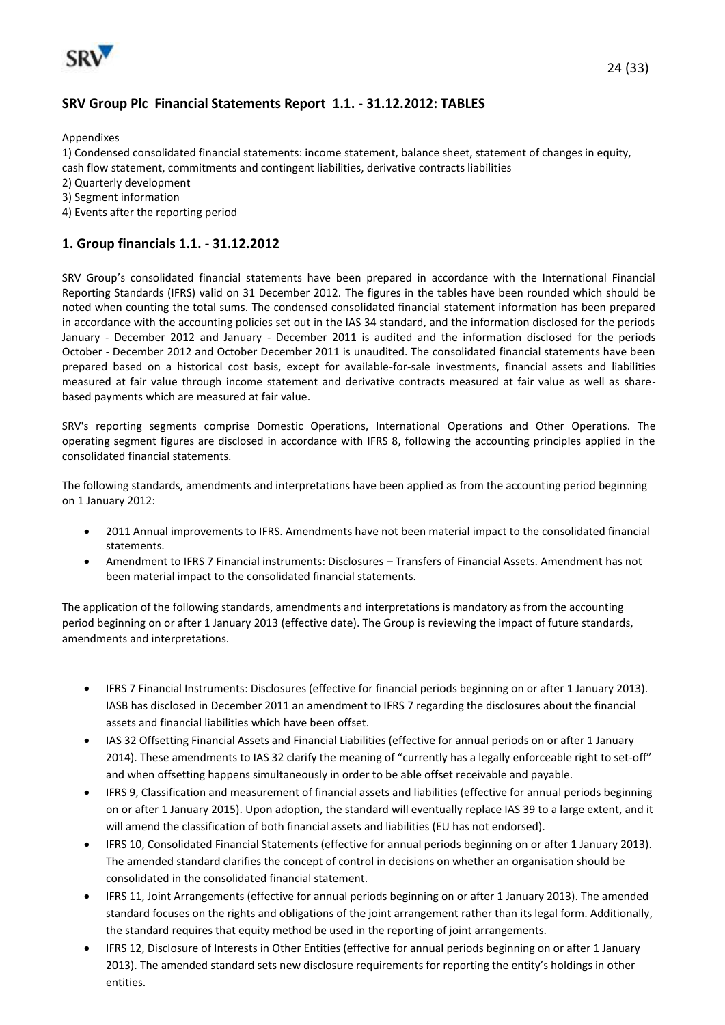

### **SRV Group Plc Financial Statements Report 1.1. - 31.12.2012: TABLES**

Appendixes

1) Condensed consolidated financial statements: income statement, balance sheet, statement of changes in equity, cash flow statement, commitments and contingent liabilities, derivative contracts liabilities

2) Quarterly development

3) Segment information

4) Events after the reporting period

#### **1. Group financials 1.1. - 31.12.2012**

SRV Group's consolidated financial statements have been prepared in accordance with the International Financial Reporting Standards (IFRS) valid on 31 December 2012. The figures in the tables have been rounded which should be noted when counting the total sums. The condensed consolidated financial statement information has been prepared in accordance with the accounting policies set out in the IAS 34 standard, and the information disclosed for the periods January - December 2012 and January - December 2011 is audited and the information disclosed for the periods October - December 2012 and October December 2011 is unaudited. The consolidated financial statements have been prepared based on a historical cost basis, except for available-for-sale investments, financial assets and liabilities measured at fair value through income statement and derivative contracts measured at fair value as well as sharebased payments which are measured at fair value.

SRV's reporting segments comprise Domestic Operations, International Operations and Other Operations. The operating segment figures are disclosed in accordance with IFRS 8, following the accounting principles applied in the consolidated financial statements.

The following standards, amendments and interpretations have been applied as from the accounting period beginning on 1 January 2012:

- 2011 Annual improvements to IFRS. Amendments have not been material impact to the consolidated financial statements.
- Amendment to IFRS 7 Financial instruments: Disclosures Transfers of Financial Assets. Amendment has not been material impact to the consolidated financial statements.

The application of the following standards, amendments and interpretations is mandatory as from the accounting period beginning on or after 1 January 2013 (effective date). The Group is reviewing the impact of future standards, amendments and interpretations.

- IFRS 7 Financial Instruments: Disclosures (effective for financial periods beginning on or after 1 January 2013). IASB has disclosed in December 2011 an amendment to IFRS 7 regarding the disclosures about the financial assets and financial liabilities which have been offset.
- IAS 32 Offsetting Financial Assets and Financial Liabilities (effective for annual periods on or after 1 January 2014). These amendments to IAS 32 clarify the meaning of "currently has a legally enforceable right to set-off" and when offsetting happens simultaneously in order to be able offset receivable and payable.
- IFRS 9, Classification and measurement of financial assets and liabilities (effective for annual periods beginning on or after 1 January 2015). Upon adoption, the standard will eventually replace IAS 39 to a large extent, and it will amend the classification of both financial assets and liabilities (EU has not endorsed).
- IFRS 10, Consolidated Financial Statements (effective for annual periods beginning on or after 1 January 2013). The amended standard clarifies the concept of control in decisions on whether an organisation should be consolidated in the consolidated financial statement.
- IFRS 11, Joint Arrangements (effective for annual periods beginning on or after 1 January 2013). The amended standard focuses on the rights and obligations of the joint arrangement rather than its legal form. Additionally, the standard requires that equity method be used in the reporting of joint arrangements.
- IFRS 12, Disclosure of Interests in Other Entities (effective for annual periods beginning on or after 1 January 2013). The amended standard sets new disclosure requirements for reporting the entity's holdings in other entities.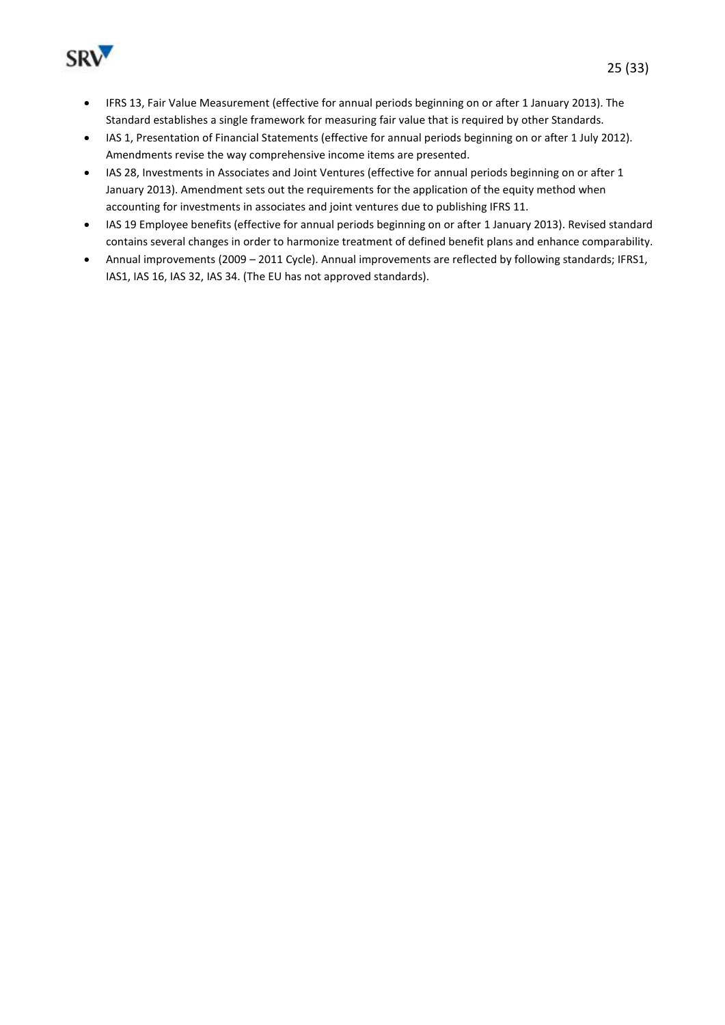

- IAS 1, Presentation of Financial Statements (effective for annual periods beginning on or after 1 July 2012). Amendments revise the way comprehensive income items are presented.
- IAS 28, Investments in Associates and Joint Ventures (effective for annual periods beginning on or after 1 January 2013). Amendment sets out the requirements for the application of the equity method when accounting for investments in associates and joint ventures due to publishing IFRS 11.
- IAS 19 Employee benefits (effective for annual periods beginning on or after 1 January 2013). Revised standard contains several changes in order to harmonize treatment of defined benefit plans and enhance comparability.
- Annual improvements (2009 2011 Cycle). Annual improvements are reflected by following standards; IFRS1, IAS1, IAS 16, IAS 32, IAS 34. (The EU has not approved standards).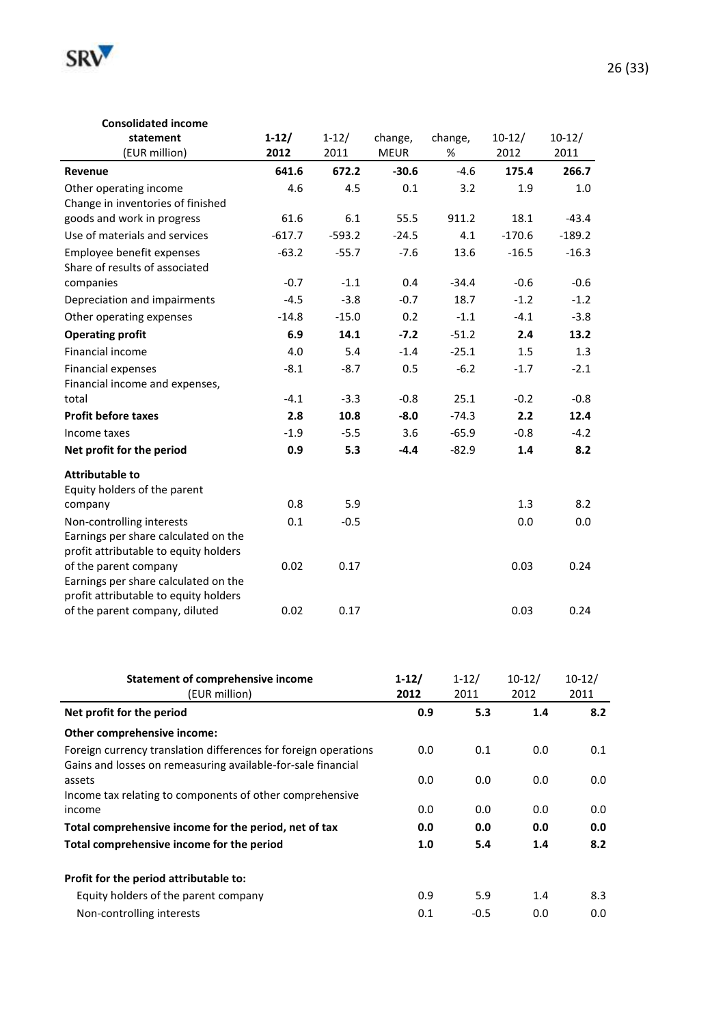

#### **Consolidated income**

| statement                                                                                                  | $1-12/$  | $1 - 12/$ | change,     | change, | $10-12/$ | $10-12/$ |
|------------------------------------------------------------------------------------------------------------|----------|-----------|-------------|---------|----------|----------|
| (EUR million)                                                                                              | 2012     | 2011      | <b>MEUR</b> | %       | 2012     | 2011     |
| Revenue                                                                                                    | 641.6    | 672.2     | $-30.6$     | $-4.6$  | 175.4    | 266.7    |
| Other operating income                                                                                     | 4.6      | 4.5       | 0.1         | 3.2     | 1.9      | 1.0      |
| Change in inventories of finished                                                                          |          |           |             |         |          |          |
| goods and work in progress                                                                                 | 61.6     | 6.1       | 55.5        | 911.2   | 18.1     | $-43.4$  |
| Use of materials and services                                                                              | $-617.7$ | $-593.2$  | $-24.5$     | 4.1     | $-170.6$ | $-189.2$ |
| Employee benefit expenses<br>Share of results of associated                                                | $-63.2$  | $-55.7$   | $-7.6$      | 13.6    | $-16.5$  | $-16.3$  |
| companies                                                                                                  | $-0.7$   | $-1.1$    | 0.4         | $-34.4$ | $-0.6$   | $-0.6$   |
| Depreciation and impairments                                                                               | $-4.5$   | $-3.8$    | $-0.7$      | 18.7    | $-1.2$   | $-1.2$   |
| Other operating expenses                                                                                   | $-14.8$  | $-15.0$   | 0.2         | $-1.1$  | $-4.1$   | $-3.8$   |
| <b>Operating profit</b>                                                                                    | 6.9      | 14.1      | $-7.2$      | $-51.2$ | 2.4      | 13.2     |
| Financial income                                                                                           | 4.0      | 5.4       | $-1.4$      | $-25.1$ | 1.5      | 1.3      |
| Financial expenses<br>Financial income and expenses,                                                       | $-8.1$   | $-8.7$    | 0.5         | $-6.2$  | $-1.7$   | $-2.1$   |
| total                                                                                                      | $-4.1$   | $-3.3$    | $-0.8$      | 25.1    | $-0.2$   | $-0.8$   |
| <b>Profit before taxes</b>                                                                                 | 2.8      | 10.8      | $-8.0$      | $-74.3$ | 2.2      | 12.4     |
| Income taxes                                                                                               | $-1.9$   | $-5.5$    | 3.6         | $-65.9$ | $-0.8$   | $-4.2$   |
| Net profit for the period                                                                                  | 0.9      | 5.3       | $-4.4$      | $-82.9$ | 1.4      | 8.2      |
| <b>Attributable to</b>                                                                                     |          |           |             |         |          |          |
| Equity holders of the parent                                                                               |          |           |             |         |          |          |
| company                                                                                                    | 0.8      | 5.9       |             |         | 1.3      | 8.2      |
| Non-controlling interests<br>Earnings per share calculated on the<br>profit attributable to equity holders | 0.1      | $-0.5$    |             |         | 0.0      | 0.0      |
| of the parent company<br>Earnings per share calculated on the<br>profit attributable to equity holders     | 0.02     | 0.17      |             |         | 0.03     | 0.24     |
| of the parent company, diluted                                                                             | 0.02     | 0.17      |             |         | 0.03     | 0.24     |

| <b>Statement of comprehensive income</b>                                                                                        | $1 - 12/$ | $1 - 12/$ | $10-12/$ | $10-12/$ |
|---------------------------------------------------------------------------------------------------------------------------------|-----------|-----------|----------|----------|
| (EUR million)                                                                                                                   | 2012      | 2011      | 2012     | 2011     |
| Net profit for the period                                                                                                       | 0.9       | 5.3       | 1.4      | 8.2      |
| Other comprehensive income:                                                                                                     |           |           |          |          |
| Foreign currency translation differences for foreign operations<br>Gains and losses on remeasuring available-for-sale financial | 0.0       | 0.1       | 0.0      | 0.1      |
| assets<br>Income tax relating to components of other comprehensive                                                              | 0.0       | 0.0       | 0.0      | 0.0      |
| income                                                                                                                          | 0.0       | 0.0       | 0.0      | 0.0      |
| Total comprehensive income for the period, net of tax                                                                           | 0.0       | 0.0       | 0.0      | 0.0      |
| Total comprehensive income for the period                                                                                       | 1.0       | 5.4       | 1.4      | 8.2      |
| Profit for the period attributable to:                                                                                          |           |           |          |          |
| Equity holders of the parent company                                                                                            | 0.9       | 5.9       | 1.4      | 8.3      |
| Non-controlling interests                                                                                                       | 0.1       | $-0.5$    | 0.0      | 0.0      |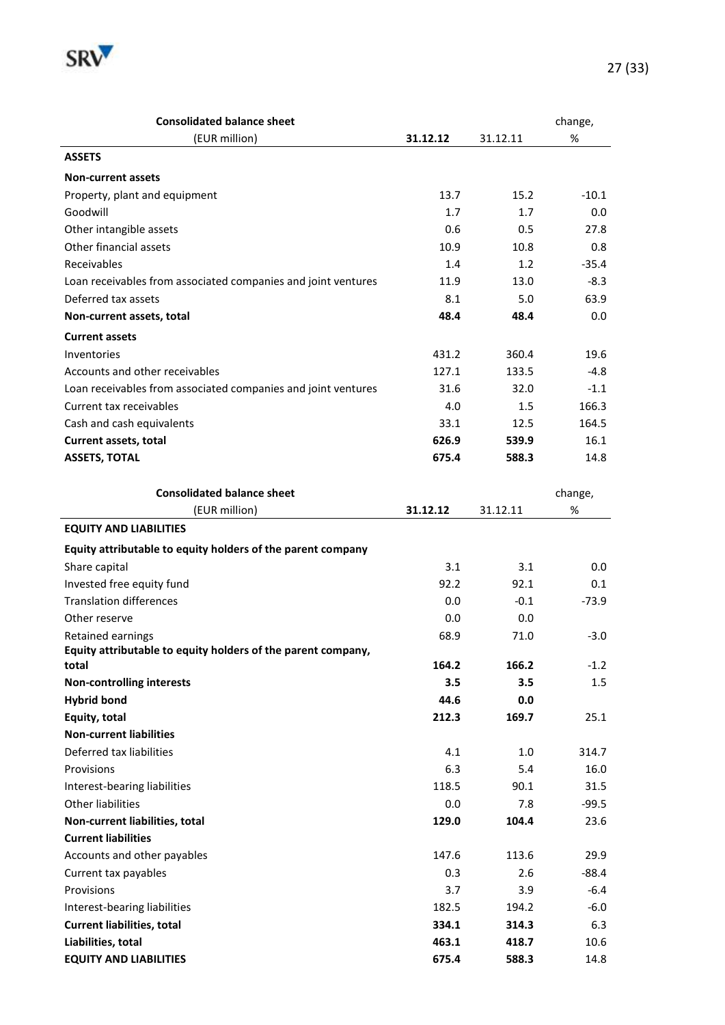

| <b>Consolidated balance sheet</b>                             |          |          | change, |
|---------------------------------------------------------------|----------|----------|---------|
| (EUR million)                                                 | 31.12.12 | 31.12.11 | $\%$    |
| <b>ASSETS</b>                                                 |          |          |         |
| <b>Non-current assets</b>                                     |          |          |         |
| Property, plant and equipment                                 | 13.7     | 15.2     | $-10.1$ |
| Goodwill                                                      | 1.7      | 1.7      | 0.0     |
| Other intangible assets                                       | 0.6      | 0.5      | 27.8    |
| Other financial assets                                        | 10.9     | 10.8     | 0.8     |
| Receivables                                                   | 1.4      | 1.2      | $-35.4$ |
| Loan receivables from associated companies and joint ventures | 11.9     | 13.0     | $-8.3$  |
| Deferred tax assets                                           | 8.1      | 5.0      | 63.9    |
| Non-current assets, total                                     | 48.4     | 48.4     | 0.0     |
| <b>Current assets</b>                                         |          |          |         |
| Inventories                                                   | 431.2    | 360.4    | 19.6    |
| Accounts and other receivables                                | 127.1    | 133.5    | $-4.8$  |
| Loan receivables from associated companies and joint ventures | 31.6     | 32.0     | $-1.1$  |
| Current tax receivables                                       | 4.0      | $1.5\,$  | 166.3   |
| Cash and cash equivalents                                     | 33.1     | 12.5     | 164.5   |
| <b>Current assets, total</b>                                  | 626.9    | 539.9    | 16.1    |
| <b>ASSETS, TOTAL</b>                                          | 675.4    | 588.3    | 14.8    |
|                                                               |          |          |         |
| <b>Consolidated balance sheet</b>                             |          |          | change, |
| (EUR million)                                                 | 31.12.12 | 31.12.11 | $\%$    |
| <b>EQUITY AND LIABILITIES</b>                                 |          |          |         |
| Equity attributable to equity holders of the parent company   |          |          |         |
| Share capital                                                 | 3.1      | 3.1      | 0.0     |
| Invested free equity fund                                     | 92.2     | 92.1     | 0.1     |
| <b>Translation differences</b>                                | 0.0      | $-0.1$   | -73.9   |
| Other reserve                                                 | 0.0      | 0.0      |         |
| Retained earnings                                             | 68.9     | 71.0     | $-3.0$  |
| Equity attributable to equity holders of the parent company,  |          |          |         |
| total                                                         | 164.2    | 166.2    | $-1.2$  |
| <b>Non-controlling interests</b>                              | 3.5      | 3.5      | 1.5     |
| <b>Hybrid bond</b>                                            | 44.6     | 0.0      |         |
| Equity, total                                                 | 212.3    | 169.7    | 25.1    |
| <b>Non-current liabilities</b>                                |          |          |         |
| Deferred tax liabilities                                      | 4.1      | 1.0      | 314.7   |
| Provisions                                                    | 6.3      | 5.4      | 16.0    |
| Interest-bearing liabilities                                  | 118.5    | 90.1     | 31.5    |
| Other liabilities                                             | 0.0      | 7.8      | $-99.5$ |
| Non-current liabilities, total                                | 129.0    | 104.4    | 23.6    |
| <b>Current liabilities</b>                                    |          |          |         |
| Accounts and other payables                                   | 147.6    | 113.6    | 29.9    |
| Current tax payables                                          | 0.3      | 2.6      | $-88.4$ |
| Provisions                                                    | 3.7      | 3.9      | $-6.4$  |
| Interest-bearing liabilities                                  | 182.5    | 194.2    | $-6.0$  |
| <b>Current liabilities, total</b>                             | 334.1    | 314.3    | 6.3     |
| Liabilities, total                                            | 463.1    | 418.7    | 10.6    |
| <b>EQUITY AND LIABILITIES</b>                                 | 675.4    | 588.3    | 14.8    |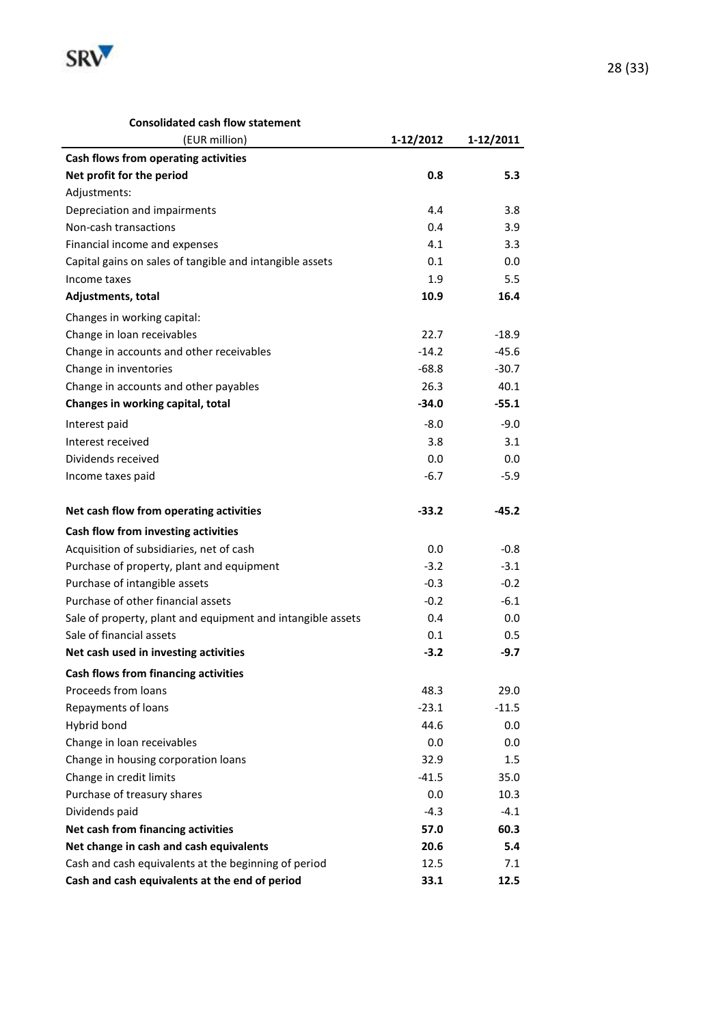

#### **Consolidated cash flow statement**

| (EUR million)                                               | 1-12/2012 | 1-12/2011 |
|-------------------------------------------------------------|-----------|-----------|
| Cash flows from operating activities                        |           |           |
| Net profit for the period                                   | 0.8       | 5.3       |
| Adjustments:                                                |           |           |
| Depreciation and impairments                                | 4.4       | 3.8       |
| Non-cash transactions                                       | 0.4       | 3.9       |
| Financial income and expenses                               | 4.1       | 3.3       |
| Capital gains on sales of tangible and intangible assets    | 0.1       | 0.0       |
| Income taxes                                                | 1.9       | 5.5       |
| Adjustments, total                                          | 10.9      | 16.4      |
| Changes in working capital:                                 |           |           |
| Change in loan receivables                                  | 22.7      | $-18.9$   |
| Change in accounts and other receivables                    | $-14.2$   | $-45.6$   |
| Change in inventories                                       | $-68.8$   | $-30.7$   |
| Change in accounts and other payables                       | 26.3      | 40.1      |
| Changes in working capital, total                           | $-34.0$   | $-55.1$   |
| Interest paid                                               | $-8.0$    | $-9.0$    |
| Interest received                                           | 3.8       | 3.1       |
| Dividends received                                          | 0.0       | 0.0       |
| Income taxes paid                                           | $-6.7$    | $-5.9$    |
|                                                             |           |           |
| Net cash flow from operating activities                     | $-33.2$   | $-45.2$   |
| Cash flow from investing activities                         |           |           |
| Acquisition of subsidiaries, net of cash                    | 0.0       | -0.8      |
| Purchase of property, plant and equipment                   | $-3.2$    | $-3.1$    |
| Purchase of intangible assets                               | $-0.3$    | $-0.2$    |
| Purchase of other financial assets                          | $-0.2$    | $-6.1$    |
| Sale of property, plant and equipment and intangible assets | 0.4       | 0.0       |
| Sale of financial assets                                    | 0.1       | 0.5       |
| Net cash used in investing activities                       | $-3.2$    | $-9.7$    |
| <b>Cash flows from financing activities</b>                 |           |           |
| Proceeds from loans                                         | 48.3      | 29.0      |
| Repayments of loans                                         | $-23.1$   | $-11.5$   |
| Hybrid bond                                                 | 44.6      | 0.0       |
| Change in loan receivables                                  | 0.0       | 0.0       |
| Change in housing corporation loans                         | 32.9      | 1.5       |
| Change in credit limits                                     | $-41.5$   | 35.0      |
| Purchase of treasury shares                                 | 0.0       | 10.3      |
| Dividends paid                                              | $-4.3$    | $-4.1$    |
| Net cash from financing activities                          | 57.0      | 60.3      |
| Net change in cash and cash equivalents                     | 20.6      | 5.4       |
| Cash and cash equivalents at the beginning of period        | 12.5      | 7.1       |
| Cash and cash equivalents at the end of period              | 33.1      | 12.5      |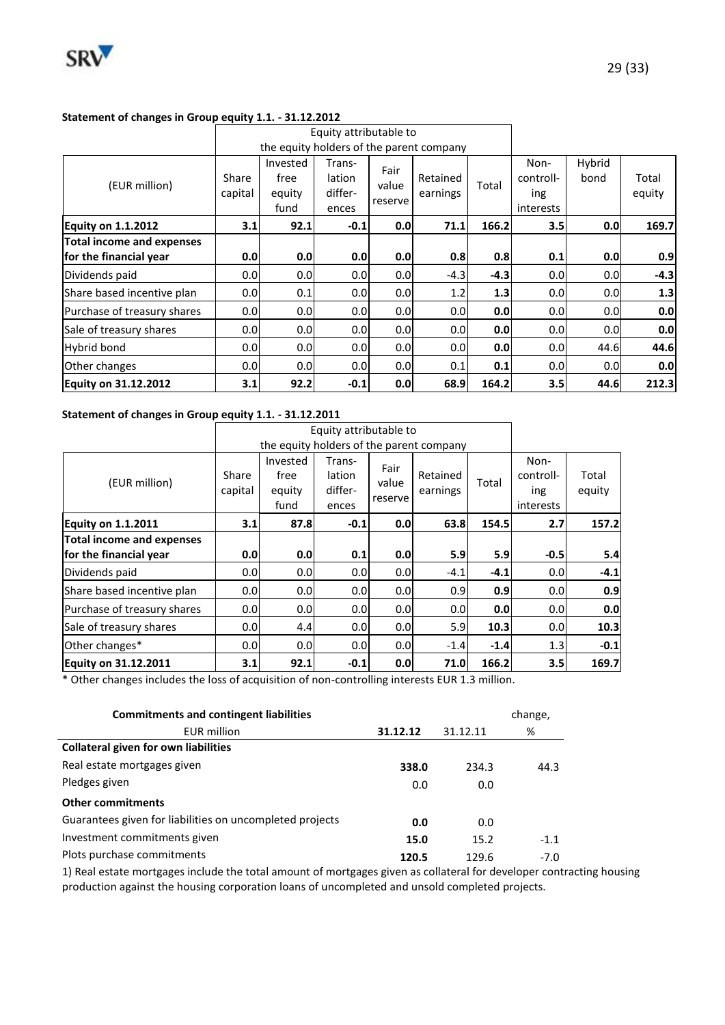

#### **Statement of changes in Group equity 1.1. - 31.12.2012**

|                                                            |                  | Equity attributable to                   |                                      |                          |                      |        |                                       |                  |                 |
|------------------------------------------------------------|------------------|------------------------------------------|--------------------------------------|--------------------------|----------------------|--------|---------------------------------------|------------------|-----------------|
|                                                            |                  | the equity holders of the parent company |                                      |                          |                      |        |                                       |                  |                 |
| (EUR million)                                              | Share<br>capital | Invested<br>free<br>equity<br>fund       | Trans-<br>lation<br>differ-<br>ences | Fair<br>value<br>reserve | Retained<br>earnings | Total  | Non-<br>controll-<br>ing<br>interests | Hybrid<br>bond   | Total<br>equity |
| <b>Equity on 1.1.2012</b>                                  | 3.1              | 92.1                                     | $-0.1$                               | 0.0                      | 71.1                 | 166.2  | 3.5                                   | 0.0              | 169.7           |
| <b>Total income and expenses</b><br>for the financial year | 0.0              | 0.0                                      | 0.0                                  | 0.0                      | 0.8                  | 0.8    | 0.1                                   | 0.0              | 0.9             |
| Dividends paid                                             | 0.0 <sub>l</sub> | 0.0                                      | 0.0                                  | 0.0                      | $-4.3$               | $-4.3$ | 0.0                                   | 0.0 <sub>l</sub> | $-4.3$          |
| Share based incentive plan                                 | 0.0              | 0.1                                      | 0.0                                  | 0.0                      | 1.2                  | 1.3    | 0.0                                   | 0.0              | 1.3             |
| Purchase of treasury shares                                | 0.0              | 0.0                                      | 0.0 <sub>l</sub>                     | 0.0                      | 0.0                  | 0.0    | 0.0                                   | 0.0 <sub>l</sub> | 0.0             |
| Sale of treasury shares                                    | 0.0              | 0.0                                      | 0.0                                  | 0.0                      | 0.0                  | 0.0    | 0.0                                   | 0.0              | 0.0             |
| <b>Hybrid bond</b>                                         | 0.0              | 0.0                                      | 0.0                                  | 0.0                      | 0.0                  | 0.0    | 0.0                                   | 44.6             | 44.6            |
| Other changes                                              | 0.0              | 0.0                                      | 0.0                                  | 0.0                      | 0.1                  | 0.1    | 0.0                                   | 0.0 <sub>l</sub> | 0.0             |
| <b>Equity on 31.12.2012</b>                                | 3.1              | 92.2                                     | $-0.1$                               | 0.0                      | 68.9                 | 164.2  | 3.5                                   | 44.6             | 212.3           |

#### **Statement of changes in Group equity 1.1. - 31.12.2011**

|                             |                  |                                          | Equity attributable to               |                          |                      |        |                                       |                 |
|-----------------------------|------------------|------------------------------------------|--------------------------------------|--------------------------|----------------------|--------|---------------------------------------|-----------------|
|                             |                  | the equity holders of the parent company |                                      |                          |                      |        |                                       |                 |
| (EUR million)               | Share<br>capital | Invested<br>free<br>equity<br>fund       | Trans-<br>lation<br>differ-<br>ences | Fair<br>value<br>reserve | Retained<br>earnings | Total  | Non-<br>controll-<br>ing<br>interests | Total<br>equity |
| <b>Equity on 1.1.2011</b>   | 3.1              | 87.8                                     | $-0.1$                               | 0.0                      | 63.8                 | 154.5  | 2.7                                   | 157.2           |
| Total income and expenses   |                  |                                          |                                      |                          |                      |        |                                       |                 |
| for the financial year      | 0.0              | 0.0                                      | 0.1                                  | 0.0                      | 5.9                  | 5.9    | $-0.5$                                | 5.4             |
| Dividends paid              | 0.0              | 0.0                                      | 0.0                                  | 0.0                      | $-4.1$               | $-4.1$ | 0.0                                   | $-4.1$          |
| Share based incentive plan  | 0.0              | 0.0                                      | 0.0                                  | 0.0                      | 0.9                  | 0.9    | 0.0                                   | 0.9             |
| Purchase of treasury shares | 0.0              | 0.0                                      | 0.0                                  | 0.0                      | 0.0 <sub>l</sub>     | 0.0    | 0.0                                   | 0.0             |
| Sale of treasury shares     | 0.0              | 4.4                                      | 0.0                                  | 0.0                      | 5.9                  | 10.3   | 0.0                                   | 10.3            |
| Other changes*              | 0.0              | 0.0                                      | 0.0                                  | 0.0                      | $-1.4$               | $-1.4$ | 1.3                                   | $-0.1$          |
| <b>Equity on 31.12.2011</b> | 3.1              | 92.1                                     | $-0.1$                               | 0.0                      | 71.0                 | 166.2  | 3.5                                   | 169.7           |

\* Other changes includes the loss of acquisition of non-controlling interests EUR 1.3 million.

| <b>Commitments and contingent liabilities</b>            |          |          | change, |
|----------------------------------------------------------|----------|----------|---------|
| <b>EUR million</b>                                       | 31.12.12 | 31.12.11 | %       |
| <b>Collateral given for own liabilities</b>              |          |          |         |
| Real estate mortgages given                              | 338.0    | 234.3    | 44.3    |
| Pledges given                                            | 0.0      | 0.0      |         |
| <b>Other commitments</b>                                 |          |          |         |
| Guarantees given for liabilities on uncompleted projects | 0.0      | 0.0      |         |
| Investment commitments given                             | 15.0     | 15.2     | $-1.1$  |
| Plots purchase commitments                               | 120.5    | 129.6    | $-7.0$  |

1) Real estate mortgages include the total amount of mortgages given as collateral for developer contracting housing production against the housing corporation loans of uncompleted and unsold completed projects.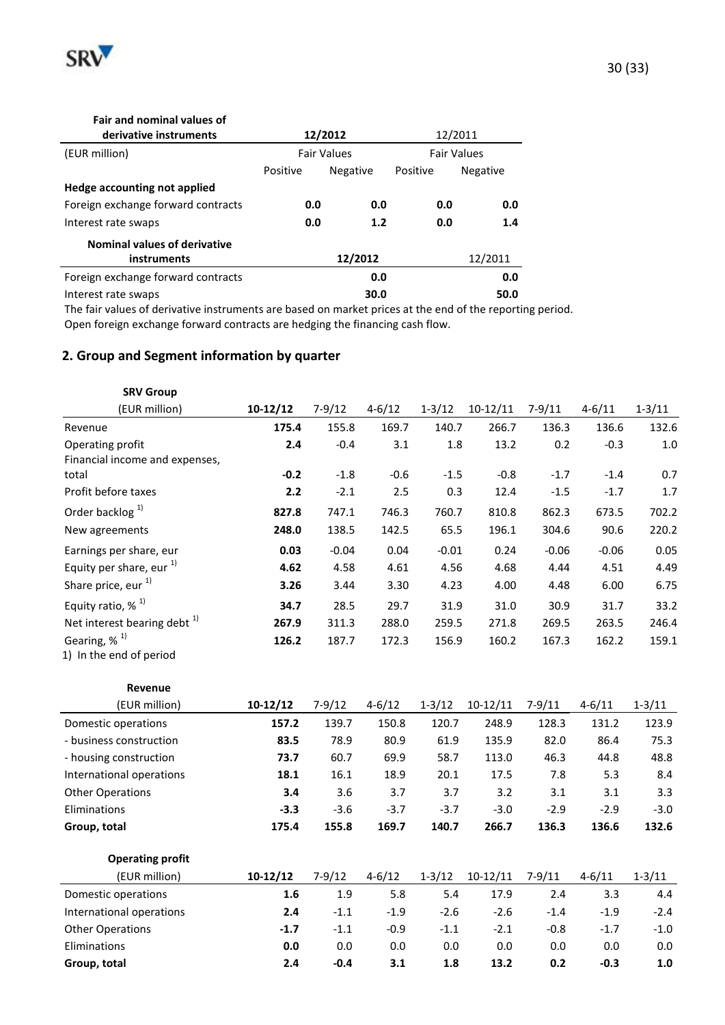

| <b>Fair and nominal values of</b>   |          |                    |                    |                 |  |
|-------------------------------------|----------|--------------------|--------------------|-----------------|--|
| derivative instruments              |          | 12/2012            |                    | 12/2011         |  |
| (EUR million)                       |          | <b>Fair Values</b> | <b>Fair Values</b> |                 |  |
|                                     | Positive | <b>Negative</b>    | Positive           | <b>Negative</b> |  |
| Hedge accounting not applied        |          |                    |                    |                 |  |
| Foreign exchange forward contracts  | 0.0      | 0.0                | 0.0                | 0.0             |  |
| Interest rate swaps                 | 0.0      | 1.2                | 0.0                | 1.4             |  |
| <b>Nominal values of derivative</b> |          |                    |                    |                 |  |
| instruments                         |          | 12/2012            |                    | 12/2011         |  |
| Foreign exchange forward contracts  |          | 0.0                |                    | 0.0             |  |
| Interest rate swaps                 |          | 30.0               |                    | 50.0            |  |

The fair values of derivative instruments are based on market prices at the end of the reporting period. Open foreign exchange forward contracts are hedging the financing cash flow.

## **2. Group and Segment information by quarter**

| <b>SRV Group</b>                                    |            |          |            |            |            |          |            |            |
|-----------------------------------------------------|------------|----------|------------|------------|------------|----------|------------|------------|
| (EUR million)                                       | $10-12/12$ | $7-9/12$ | $4 - 6/12$ | $1 - 3/12$ | $10-12/11$ | $7-9/11$ | $4 - 6/11$ | $1 - 3/11$ |
| Revenue                                             | 175.4      | 155.8    | 169.7      | 140.7      | 266.7      | 136.3    | 136.6      | 132.6      |
| Operating profit<br>Financial income and expenses,  | 2.4        | $-0.4$   | 3.1        | 1.8        | 13.2       | 0.2      | $-0.3$     | 1.0        |
| total                                               | $-0.2$     | $-1.8$   | $-0.6$     | $-1.5$     | $-0.8$     | $-1.7$   | $-1.4$     | 0.7        |
| Profit before taxes                                 | 2.2        | $-2.1$   | 2.5        | 0.3        | 12.4       | $-1.5$   | $-1.7$     | 1.7        |
| Order backlog <sup>1)</sup>                         | 827.8      | 747.1    | 746.3      | 760.7      | 810.8      | 862.3    | 673.5      | 702.2      |
| New agreements                                      | 248.0      | 138.5    | 142.5      | 65.5       | 196.1      | 304.6    | 90.6       | 220.2      |
| Earnings per share, eur                             | 0.03       | $-0.04$  | 0.04       | $-0.01$    | 0.24       | $-0.06$  | $-0.06$    | 0.05       |
| Equity per share, eur $^{1)}$                       | 4.62       | 4.58     | 4.61       | 4.56       | 4.68       | 4.44     | 4.51       | 4.49       |
| Share price, eur <sup>1)</sup>                      | 3.26       | 3.44     | 3.30       | 4.23       | 4.00       | 4.48     | 6.00       | 6.75       |
| Equity ratio, $%$ <sup>1)</sup>                     | 34.7       | 28.5     | 29.7       | 31.9       | 31.0       | 30.9     | 31.7       | 33.2       |
| Net interest bearing debt <sup>1)</sup>             | 267.9      | 311.3    | 288.0      | 259.5      | 271.8      | 269.5    | 263.5      | 246.4      |
| Gearing, % <sup>1)</sup><br>1) In the end of period | 126.2      | 187.7    | 172.3      | 156.9      | 160.2      | 167.3    | 162.2      | 159.1      |

| Revenue                  |            |            |            |            |            |            |            |            |
|--------------------------|------------|------------|------------|------------|------------|------------|------------|------------|
| (EUR million)            | $10-12/12$ | $7 - 9/12$ | $4 - 6/12$ | $1 - 3/12$ | $10-12/11$ | $7 - 9/11$ | $4 - 6/11$ | $1 - 3/11$ |
| Domestic operations      | 157.2      | 139.7      | 150.8      | 120.7      | 248.9      | 128.3      | 131.2      | 123.9      |
| - business construction  | 83.5       | 78.9       | 80.9       | 61.9       | 135.9      | 82.0       | 86.4       | 75.3       |
| - housing construction   | 73.7       | 60.7       | 69.9       | 58.7       | 113.0      | 46.3       | 44.8       | 48.8       |
| International operations | 18.1       | 16.1       | 18.9       | 20.1       | 17.5       | 7.8        | 5.3        | 8.4        |
| <b>Other Operations</b>  | 3.4        | 3.6        | 3.7        | 3.7        | 3.2        | 3.1        | 3.1        | 3.3        |
| Eliminations             | $-3.3$     | $-3.6$     | $-3.7$     | $-3.7$     | $-3.0$     | $-2.9$     | $-2.9$     | $-3.0$     |
| Group, total             | 175.4      | 155.8      | 169.7      | 140.7      | 266.7      | 136.3      | 136.6      | 132.6      |

| <b>Operating profit</b>  |            |        |            |            |            |        |            |            |
|--------------------------|------------|--------|------------|------------|------------|--------|------------|------------|
| (EUR million)            | $10-12/12$ | 7-9/12 | $4 - 6/12$ | $1 - 3/12$ | $10-12/11$ | 7-9/11 | $4 - 6/11$ | $1 - 3/11$ |
| Domestic operations      | 1.6        | 1.9    | 5.8        | 5.4        | 17.9       | 2.4    | 3.3        | 4.4        |
| International operations | 2.4        | $-1.1$ | $-1.9$     | $-2.6$     | $-2.6$     | $-1.4$ | $-1.9$     | $-2.4$     |
| <b>Other Operations</b>  | $-1.7$     | $-1.1$ | $-0.9$     | $-1.1$     | $-2.1$     | $-0.8$ | $-1.7$     | $-1.0$     |
| Eliminations             | 0.0        | 0.0    | 0.0        | 0.0        | 0.0        | 0.0    | 0.0        | 0.0        |
| Group, total             | 2.4        | $-0.4$ | 3.1        | 1.8        | 13.2       | 0.2    | $-0.3$     | 1.0        |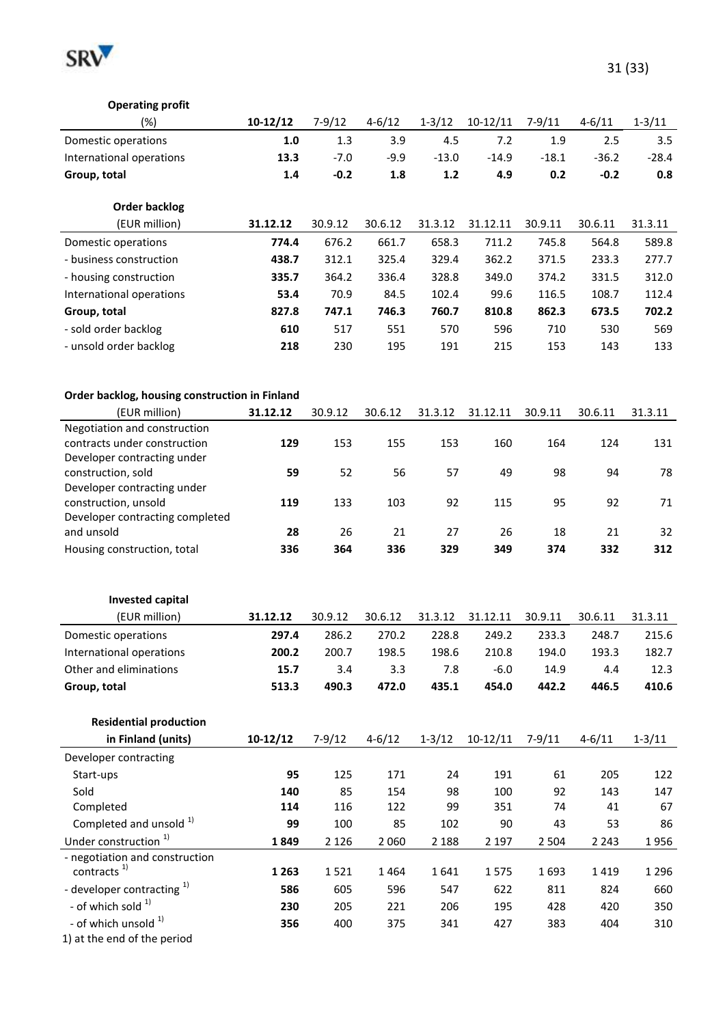

| <b>Operating profit</b>                               |            |            |            |            |            |            |            |            |
|-------------------------------------------------------|------------|------------|------------|------------|------------|------------|------------|------------|
| (%)                                                   | $10-12/12$ | $7-9/12$   | $4 - 6/12$ | $1 - 3/12$ | $10-12/11$ | $7 - 9/11$ | $4 - 6/11$ | $1 - 3/11$ |
| Domestic operations                                   | 1.0        | 1.3        | 3.9        | 4.5        | 7.2        | 1.9        | 2.5        | 3.5        |
| International operations                              | 13.3       | $-7.0$     | $-9.9$     | $-13.0$    | $-14.9$    | $-18.1$    | $-36.2$    | $-28.4$    |
| Group, total                                          | 1.4        | $-0.2$     | 1.8        | $1.2$      | 4.9        | 0.2        | $-0.2$     | 0.8        |
|                                                       |            |            |            |            |            |            |            |            |
| <b>Order backlog</b>                                  |            |            |            |            |            |            |            |            |
| (EUR million)                                         | 31.12.12   | 30.9.12    | 30.6.12    | 31.3.12    | 31.12.11   | 30.9.11    | 30.6.11    | 31.3.11    |
| Domestic operations                                   | 774.4      | 676.2      | 661.7      | 658.3      | 711.2      | 745.8      | 564.8      | 589.8      |
| - business construction                               | 438.7      | 312.1      | 325.4      | 329.4      | 362.2      | 371.5      | 233.3      | 277.7      |
| - housing construction                                | 335.7      | 364.2      | 336.4      | 328.8      | 349.0      | 374.2      | 331.5      | 312.0      |
| International operations                              | 53.4       | 70.9       | 84.5       | 102.4      | 99.6       | 116.5      | 108.7      | 112.4      |
| Group, total                                          | 827.8      | 747.1      | 746.3      | 760.7      | 810.8      | 862.3      | 673.5      | 702.2      |
| - sold order backlog                                  | 610        | 517        | 551        | 570        | 596        | 710        | 530        | 569        |
| - unsold order backlog                                | 218        | 230        | 195        | 191        | 215        | 153        | 143        | 133        |
|                                                       |            |            |            |            |            |            |            |            |
|                                                       |            |            |            |            |            |            |            |            |
| Order backlog, housing construction in Finland        |            |            |            |            |            |            |            |            |
| (EUR million)                                         | 31.12.12   | 30.9.12    | 30.6.12    | 31.3.12    | 31.12.11   | 30.9.11    | 30.6.11    | 31.3.11    |
| Negotiation and construction                          |            |            |            |            |            |            |            |            |
| contracts under construction                          | 129        | 153        | 155        | 153        | 160        | 164        | 124        | 131        |
| Developer contracting under                           |            |            |            |            |            |            |            |            |
| construction, sold<br>Developer contracting under     | 59         | 52         | 56         | 57         | 49         | 98         | 94         | 78         |
| construction, unsold                                  | 119        | 133        | 103        | 92         | 115        | 95         | 92         | 71         |
| Developer contracting completed                       |            |            |            |            |            |            |            |            |
| and unsold                                            | 28         | 26         | 21         | 27         | 26         | 18         | 21         | 32         |
| Housing construction, total                           | 336        | 364        | 336        | 329        | 349        | 374        | 332        | 312        |
|                                                       |            |            |            |            |            |            |            |            |
|                                                       |            |            |            |            |            |            |            |            |
| <b>Invested capital</b>                               |            |            |            |            |            |            |            |            |
| (EUR million)                                         | 31.12.12   | 30.9.12    | 30.6.12    | 31.3.12    | 31.12.11   | 30.9.11    | 30.6.11    | 31.3.11    |
| Domestic operations                                   | 297.4      | 286.2      | 270.2      | 228.8      | 249.2      | 233.3      | 248.7      | 215.6      |
| International operations                              | 200.2      | 200.7      | 198.5      | 198.6      | 210.8      | 194.0      | 193.3      | 182.7      |
| Other and eliminations                                | 15.7       | 3.4        | 3.3        | 7.8        | $-6.0$     | 14.9       | 4.4        | 12.3       |
| Group, total                                          | 513.3      | 490.3      | 472.0      | 435.1      | 454.0      | 442.2      | 446.5      | 410.6      |
|                                                       |            |            |            |            |            |            |            |            |
| <b>Residential production</b>                         |            |            |            |            |            |            |            |            |
| in Finland (units)                                    | $10-12/12$ | $7-9/12$   | $4 - 6/12$ | $1 - 3/12$ | $10-12/11$ | $7 - 9/11$ | $4 - 6/11$ | $1 - 3/11$ |
| Developer contracting                                 |            |            |            |            |            |            |            |            |
| Start-ups                                             |            |            |            |            |            |            |            | 122        |
|                                                       | 95         | 125        | 171        | 24         | 191        | 61         | 205        |            |
| Sold                                                  | 140        | 85         | 154        | 98         | 100        | 92         | 143        | 147        |
| Completed                                             | 114        | 116        | 122        | 99         | 351        | 74         | 41         | 67         |
| Completed and unsold <sup>1)</sup>                    | 99         | 100        | 85         | 102        | 90         | 43         | 53         | 86         |
| Under construction <sup>1)</sup>                      | 1849       | 2 1 2 6    | 2 0 6 0    | 2 1 8 8    | 2 1 9 7    | 2 5 0 4    | 2 2 4 3    | 1956       |
| - negotiation and construction                        |            |            |            |            |            |            |            |            |
| contracts <sup>1)</sup>                               | 1 2 6 3    | 1521       | 1464       | 1641       | 1575       | 1693       | 1419       | 1 2 9 6    |
| - developer contracting <sup>1)</sup>                 | 586        | 605        | 596        | 547        | 622        | 811        | 824        | 660        |
| - of which sold 1)<br>- of which unsold <sup>1)</sup> | 230<br>356 | 205<br>400 | 221<br>375 | 206<br>341 | 195<br>427 | 428<br>383 | 420<br>404 | 350<br>310 |

1) at the end of the period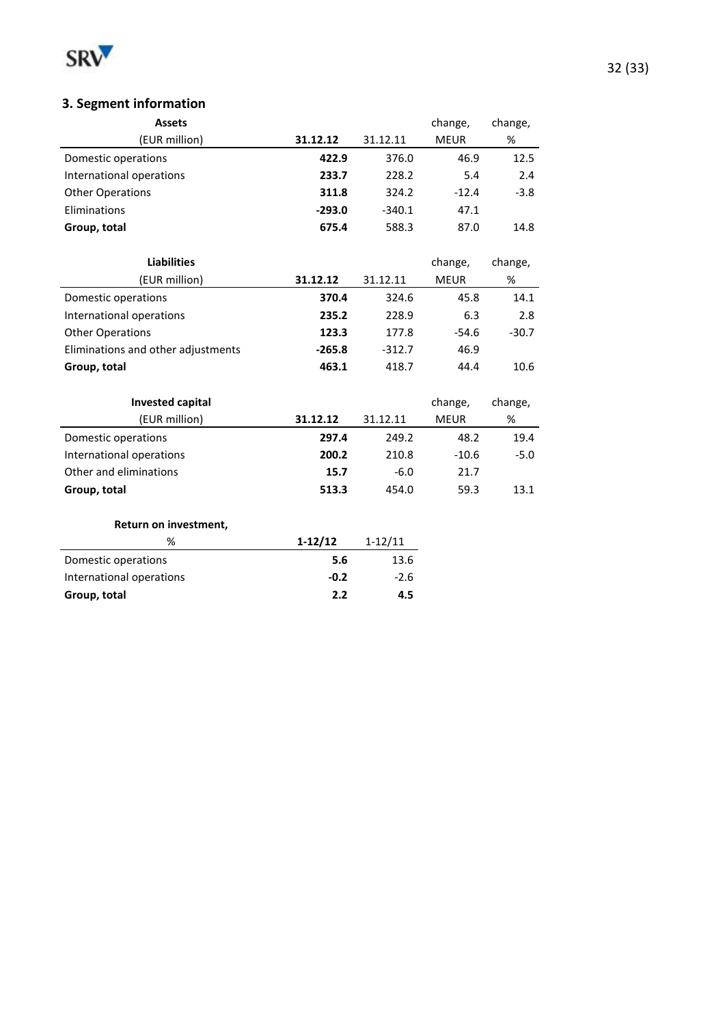

# **3. Segment information**

| <b>Assets</b>            |          |          | change,     | change, |
|--------------------------|----------|----------|-------------|---------|
| (EUR million)            | 31.12.12 | 31.12.11 | <b>MEUR</b> | %       |
| Domestic operations      | 422.9    | 376.0    | 46.9        | 12.5    |
| International operations | 233.7    | 228.2    | 5.4         | 2.4     |
| <b>Other Operations</b>  | 311.8    | 324.2    | $-12.4$     | $-3.8$  |
| Eliminations             | $-293.0$ | $-340.1$ | 47.1        |         |
| Group, total             | 675.4    | 588.3    | 87.0        | 14.8    |
|                          |          |          |             |         |

| <b>Liabilities</b>                 |          |          | change,     | change, |
|------------------------------------|----------|----------|-------------|---------|
| (EUR million)                      | 31.12.12 | 31.12.11 | <b>MEUR</b> | %       |
| Domestic operations                | 370.4    | 324.6    | 45.8        | 14.1    |
| International operations           | 235.2    | 228.9    | 6.3         | 2.8     |
| <b>Other Operations</b>            | 123.3    | 177.8    | $-54.6$     | $-30.7$ |
| Eliminations and other adjustments | $-265.8$ | $-312.7$ | 46.9        |         |
| Group, total                       | 463.1    | 418.7    | 44.4        | 10.6    |

| <b>Invested capital</b>  |          |          | change,     | change, |
|--------------------------|----------|----------|-------------|---------|
| (EUR million)            | 31.12.12 | 31.12.11 | <b>MEUR</b> | %       |
| Domestic operations      | 297.4    | 249.2    | 48.2        | 19.4    |
| International operations | 200.2    | 210.8    | $-10.6$     | $-5.0$  |
| Other and eliminations   | 15.7     | $-6.0$   | 21.7        |         |
| Group, total             | 513.3    | 454.0    | 59.3        | 13.1    |

#### **Return on investment,**

| %                        | $1-12/12$ | $1 - 12/11$ |
|--------------------------|-----------|-------------|
| Domestic operations      | 5.6       | 13.6        |
| International operations | $-0.2$    | $-2.6$      |
| Group, total             | 2.2       | 4.5         |